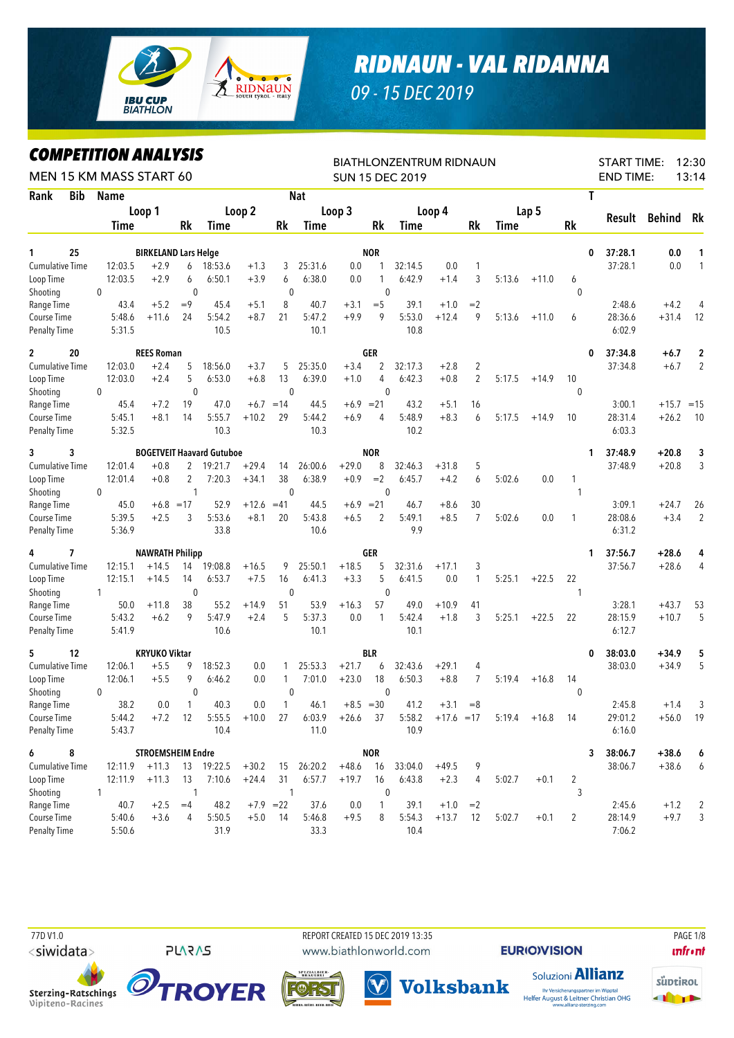

## *RIDNAUN - VAL RIDANNA*

*09 - 15 DEC 2019*

## *COMPETITION ANALYSIS*

| LUMPEIIIIUN ANALYƏIƏ<br>MEN 15 KM MASS START 60 |              |                                       |                |                                  |              |              |            |             |                | <b>BIATHLONZENTRUM RIDNAUN</b><br><b>SUN 15 DEC 2019</b> |              |                |        |                |              | <b>START TIME:</b><br><b>END TIME:</b> |            | 12:30<br>13:14 |
|-------------------------------------------------|--------------|---------------------------------------|----------------|----------------------------------|--------------|--------------|------------|-------------|----------------|----------------------------------------------------------|--------------|----------------|--------|----------------|--------------|----------------------------------------|------------|----------------|
| <b>Bib</b><br>Rank                              | <b>Name</b>  |                                       |                |                                  |              |              | <b>Nat</b> |             |                |                                                          |              |                |        |                |              | T                                      |            |                |
|                                                 |              | Loop 1                                |                |                                  | Loop 2       |              |            | Loop 3      |                |                                                          | Loop 4       |                |        | Lap 5          |              |                                        |            |                |
|                                                 | <b>Time</b>  |                                       | Rk             | Time                             |              | Rk           | Time       |             | Rk             | Time                                                     |              | Rk             | Time   |                | Rk           | Result                                 | Behind     | Rk             |
|                                                 |              |                                       |                |                                  |              |              |            |             | <b>NOR</b>     |                                                          |              |                |        |                |              |                                        |            |                |
| 25<br>1<br><b>Cumulative Time</b>               | 12:03.5      | <b>BIRKELAND Lars Helge</b><br>$+2.9$ | 6              | 18:53.6                          | $+1.3$       | 3            | 25:31.6    | 0.0         | 1              | 32:14.5                                                  | 0.0          | 1              |        |                |              | 37:28.1<br>0<br>37:28.1                | 0.0<br>0.0 | 1<br>1         |
| Loop Time                                       | 12:03.5      | $+2.9$                                | 6              | 6:50.1                           | $+3.9$       | 6            | 6:38.0     | 0.0         | 1              | 6:42.9                                                   | $+1.4$       | 3              | 5:13.6 | $+11.0$        | 6            |                                        |            |                |
| Shooting                                        | 0            |                                       | $\mathbf{0}$   |                                  |              | $\mathbf 0$  |            |             | $\mathbf 0$    |                                                          |              |                |        |                | $\mathbf{0}$ |                                        |            |                |
| Range Time                                      | 43.4         | $+5.2$                                | $=9$           | 45.4                             | $+5.1$       | 8            | 40.7       | $+3.1$      | $=$ 5          | 39.1                                                     | $+1.0$       | $=2$           |        |                |              | 2:48.6                                 | $+4.2$     | 4              |
| Course Time                                     | 5:48.6       | $+11.6$                               | 24             | 5:54.2                           | $+8.7$       | 21           | 5:47.2     | $+9.9$      | 9              | 5:53.0                                                   | $+12.4$      | 9              | 5:13.6 | $+11.0$        | 6            | 28:36.6                                | $+31.4$    | 12             |
| <b>Penalty Time</b>                             | 5:31.5       |                                       |                | 10.5                             |              |              | 10.1       |             |                | 10.8                                                     |              |                |        |                |              | 6:02.9                                 |            |                |
| 20<br>$\mathbf{2}$                              |              | <b>REES Roman</b>                     |                |                                  |              |              |            |             | GER            |                                                          |              |                |        |                |              | 37:34.8<br>0                           | $+6.7$     | $\overline{2}$ |
| Cumulative Time                                 | 12:03.0      | $+2.4$                                | 5              | 18:56.0                          | $+3.7$       | 5            | 25:35.0    | $+3.4$      | $\overline{2}$ | 32:17.3                                                  | $+2.8$       | $\overline{2}$ |        |                |              | 37:34.8                                | $+6.7$     | $\overline{2}$ |
| Loop Time                                       | 12:03.0      | $+2.4$                                | 5              | 6:53.0                           | $+6.8$       | 13           | 6:39.0     | $+1.0$      | 4              | 6:42.3                                                   | $+0.8$       | $\overline{2}$ | 5:17.5 | $+14.9$        | 10           |                                        |            |                |
| Shooting                                        | 0            |                                       | $\mathbf{0}$   |                                  |              | $\mathbf{0}$ |            |             | $\mathbf{0}$   |                                                          |              |                |        |                | $\mathbf 0$  |                                        |            |                |
| Range Time                                      | 45.4         | $+7.2$                                | 19             | 47.0                             | $+6.7$       | $=14$        | 44.5       | $+6.9$      | $= 21$         | 43.2                                                     | $+5.1$       | 16             |        |                |              | 3:00.1                                 | $+15.7$    | $=15$          |
| Course Time                                     | 5:45.1       | $+8.1$                                | 14             | 5:55.7                           | $+10.2$      | 29           | 5:44.2     | $+6.9$      | 4              | 5:48.9                                                   | $+8.3$       | 6              | 5:17.5 | $+14.9$        | 10           | 28:31.4                                | $+26.2$    | 10             |
| <b>Penalty Time</b>                             | 5:32.5       |                                       |                | 10.3                             |              |              | 10.3       |             |                | 10.2                                                     |              |                |        |                |              | 6:03.3                                 |            |                |
| 3<br>3                                          |              |                                       |                | <b>BOGETVEIT Haavard Gutuboe</b> |              |              |            |             | <b>NOR</b>     |                                                          |              |                |        |                |              | 37:48.9<br>1                           | $+20.8$    | 3              |
| <b>Cumulative Time</b>                          | 12:01.4      | $+0.8$                                | 2              | 19:21.7                          | $+29.4$      | 14           | 26:00.6    | $+29.0$     | 8              | 32:46.3                                                  | $+31.8$      | 5              |        |                |              | 37:48.9                                | $+20.8$    | 3              |
| Loop Time                                       | 12:01.4      | $+0.8$                                | 2              | 7:20.3                           | $+34.1$      | 38           | 6:38.9     | $+0.9$      | $=2$           | 6:45.7                                                   | $+4.2$       | 6              | 5:02.6 | 0.0            | 1            |                                        |            |                |
| Shooting                                        | 0            |                                       | 1              |                                  |              | $\mathbf{0}$ |            |             | $\mathbf{0}$   |                                                          |              |                |        |                | 1            |                                        |            |                |
| Range Time                                      | 45.0         |                                       | $+6.8 = 17$    | 52.9                             | $+12.6 = 41$ |              | 44.5       | $+6.9 = 21$ |                | 46.7                                                     | $+8.6$       | 30             |        |                |              | 3:09.1                                 | $+24.7$    | 26             |
| Course Time                                     | 5:39.5       | $+2.5$                                | 3              | 5:53.6                           | $+8.1$       | 20           | 5:43.8     | $+6.5$      | 2              | 5:49.1                                                   | $+8.5$       | $\overline{7}$ | 5:02.6 | 0.0            | 1            | 28:08.6                                | $+3.4$     | $\overline{2}$ |
| <b>Penalty Time</b>                             | 5:36.9       |                                       |                | 33.8                             |              |              | 10.6       |             |                | 9.9                                                      |              |                |        |                |              | 6:31.2                                 |            |                |
| 7<br>4                                          |              | <b>NAWRATH Philipp</b>                |                |                                  |              |              |            |             | GER            |                                                          |              |                |        |                |              | 37:56.7<br>1                           | $+28.6$    | 4              |
| Cumulative Time                                 | 12:15.1      | $+14.5$                               | 14             | 19:08.8                          | $+16.5$      | 9            | 25:50.1    | $+18.5$     | 5              | 32:31.6                                                  | $+17.1$      | 3              |        |                |              | 37:56.7                                | $+28.6$    | 4              |
| Loop Time                                       | 12:15.1      | $+14.5$                               | 14             | 6:53.7                           | $+7.5$       | 16           | 6:41.3     | $+3.3$      | 5              | 6:41.5                                                   | 0.0          | 1              | 5:25.1 | $+22.5$        | 22           |                                        |            |                |
| Shooting                                        | 1            |                                       | $\mathbf{0}$   |                                  |              | $\mathbf 0$  |            |             | $\mathbf{0}$   |                                                          |              |                |        |                | 1            |                                        |            |                |
| Range Time                                      | 50.0         | $+11.8$                               | 38             | 55.2                             | $+14.9$      | 51           | 53.9       | $+16.3$     | 57             | 49.0                                                     | $+10.9$      | 41             |        |                |              | 3:28.1                                 | $+43.7$    | 53             |
| Course Time                                     | 5:43.2       | $+6.2$                                | 9              | 5:47.9                           | $+2.4$       | 5            | 5:37.3     | 0.0         | 1              | 5:42.4                                                   | $+1.8$       | 3              | 5:25.1 | $+22.5$        | 22           | 28:15.9                                | $+10.7$    | 5              |
| Penalty Time                                    | 5:41.9       |                                       |                | 10.6                             |              |              | 10.1       |             |                | 10.1                                                     |              |                |        |                |              | 6:12.7                                 |            |                |
| 12<br>5                                         |              | <b>KRYUKO Viktar</b>                  |                |                                  |              |              |            |             | <b>BLR</b>     |                                                          |              |                |        |                |              | 38:03.0<br>0                           | $+34.9$    | 5              |
| Cumulative Time                                 | 12:06.1      | $+5.5$                                | 9              | 18:52.3                          | 0.0          | 1            | 25:53.3    | $+21.7$     | 6              | 32:43.6                                                  | $+29.1$      | 4              |        |                |              | 38:03.0                                | $+34.9$    | 5              |
| Loop Time                                       | 12:06.1      | $+5.5$                                | 9              | 6:46.2                           | 0.0          | 1            | 7:01.0     | $+23.0$     | 18             | 6:50.3                                                   | $+8.8$       | 7              | 5:19.4 | $+16.8$        | 14           |                                        |            |                |
| Shooting                                        | $\mathbf{0}$ |                                       | $\mathbf{0}$   |                                  |              | $\mathbf{0}$ |            |             | $\mathbf{0}$   |                                                          |              |                |        |                | $\mathbf{0}$ |                                        |            |                |
| Range Time                                      | 38.2         | 0.0                                   | $\overline{1}$ | 40.3                             | 0.0          | $\mathbf{1}$ | 46.1       | $+8.5 = 30$ |                | 41.2                                                     | $+3.1$       | $=8$           |        |                |              | 2:45.8                                 | $+1.4$     |                |
| Course Time                                     | 5:44.2       | $+7.2$                                | 12             | 5:55.5                           | $+10.0$      | 27           | 6:03.9     | $+26.6$     | 37             | 5:58.2                                                   | $+17.6 = 17$ |                |        | $5:19.4$ +16.8 | - 14         | 29:01.2                                |            | $+56.0$ 19     |
| <b>Penalty Time</b>                             | 5:43.7       |                                       |                | 10.4                             |              |              | 11.0       |             |                | 10.9                                                     |              |                |        |                |              | 6:16.0                                 |            |                |
| 6<br>8                                          |              | <b>STROEMSHEIM Endre</b>              |                |                                  |              |              |            |             | <b>NOR</b>     |                                                          |              |                |        |                |              | 38:06.7<br>3                           | $+38.6$    | 6              |
| <b>Cumulative Time</b>                          | 12:11.9      | $+11.3$                               |                | 13 19:22.5                       | $+30.2$      | 15           | 26:20.2    | $+48.6$     | 16             | 33:04.0                                                  | $+49.5$      | 9              |        |                |              | 38:06.7                                | $+38.6$    | 6              |
| Loop Time                                       | 12:11.9      | $+11.3$                               | 13             | 7:10.6                           | $+24.4$      | 31           | 6:57.7     | $+19.7$     | 16             | 6:43.8                                                   | $+2.3$       | 4              | 5:02.7 | $+0.1$         | 2            |                                        |            |                |
| Shooting                                        | $\mathbf{1}$ |                                       | 1              |                                  |              | 1            |            |             | $\mathbf 0$    |                                                          |              |                |        |                | 3            |                                        |            |                |
| Range Time                                      | 40.7         | $+2.5$                                | $=4$           | 48.2                             |              | $+7.9$ = 22  | 37.6       | 0.0         | 1              | 39.1                                                     | $+1.0$       | $=2$           |        |                |              | 2:45.6                                 | $+1.2$     | 2              |
| Course Time                                     | 5:40.6       | $+3.6$                                | 4              | 5:50.5                           | $+5.0$       | - 14         | 5:46.8     | $+9.5$      | 8              | 5:54.3                                                   | $+13.7$      | -12            | 5:02.7 | $+0.1$         | 2            | 28:14.9                                | $+9.7$     | 3              |
| <b>Penalty Time</b>                             | 5:50.6       |                                       |                | 31.9                             |              |              | 33.3       |             |                | 10.4                                                     |              |                |        |                |              | 7:06.2                                 |            |                |

<siwidata>

**PLARAS** 

**ROYER** 

 77D V1.0 REPORT CREATED 15 DEC 2019 13:35 PAGE 1/8www.biathlonworld.com



**EURIOIVISION** 

Soluzioni **Allianz** 



 $\mathbf{u}$ front

Sterzing-Ratschings O Vipiteno-Racines



**Volksbank** Ihr Versicherungspartner im Wipptal<br>Helfer August & Leitner Christian OHG<br>www.allianz-sterzing.com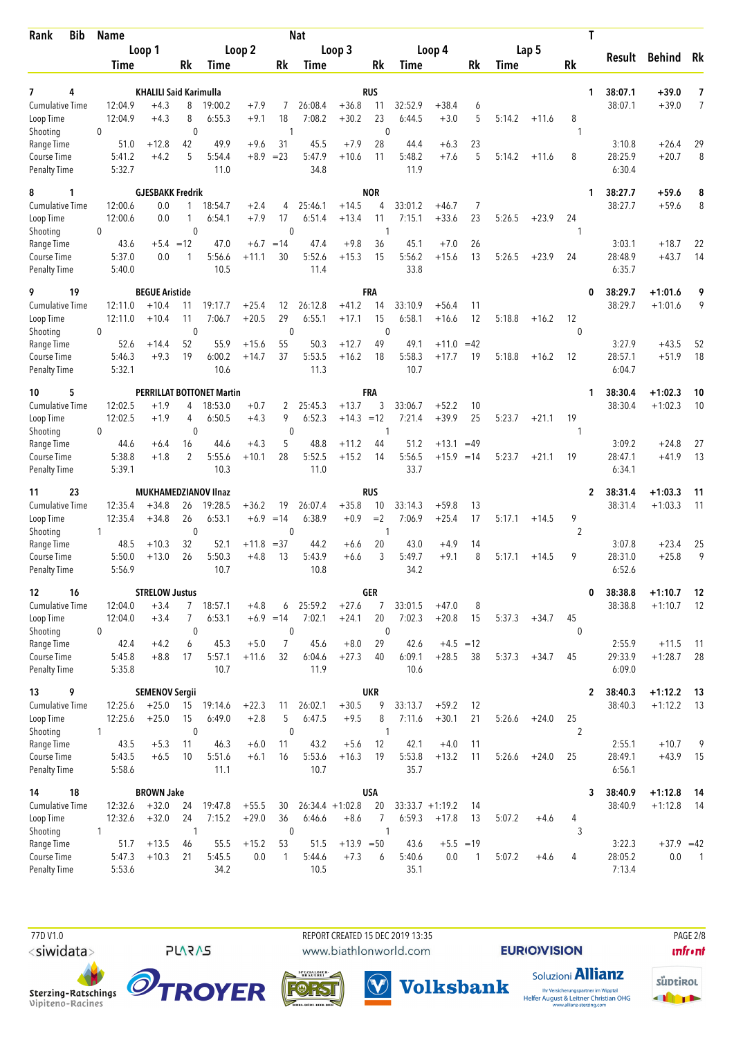| <b>Bib</b><br>Rank                        | Name                    |                                  |                    |                                  |                   |                       | <b>Nat</b>        |                   |                              |                   |                    |              |        |         |                    | Τ                                  |                        |                 |
|-------------------------------------------|-------------------------|----------------------------------|--------------------|----------------------------------|-------------------|-----------------------|-------------------|-------------------|------------------------------|-------------------|--------------------|--------------|--------|---------|--------------------|------------------------------------|------------------------|-----------------|
|                                           |                         | Loop 1                           |                    |                                  | Loop 2            |                       |                   | Loop 3            |                              |                   | Loop 4             |              |        | Lap 5   |                    | Result                             | <b>Behind</b>          | Rk              |
|                                           | Time                    |                                  | Rk                 | Time                             |                   | Rk                    | Time              |                   | Rk                           | Time              |                    | Rk           | Time   |         | Rk                 |                                    |                        |                 |
| 4<br>7                                    |                         | <b>KHALILI Said Karimulla</b>    |                    |                                  |                   |                       |                   |                   | <b>RUS</b>                   |                   |                    |              |        |         |                    | 38:07.1<br>1                       | +39.0                  | 7               |
| <b>Cumulative Time</b>                    | 12:04.9                 | $+4.3$                           | 8                  | 19:00.2                          | $+7.9$            | 7                     | 26:08.4           | $+36.8$           | 11                           | 32:52.9           | $+38.4$            | 6            |        |         |                    | 38:07.1                            | $+39.0$                | 7               |
| Loop Time                                 | 12:04.9                 | $+4.3$                           | 8                  | 6:55.3                           | $+9.1$            | 18                    | 7:08.2            | $+30.2$           | 23                           | 6:44.5            | $+3.0$             | 5            | 5:14.2 | $+11.6$ | 8                  |                                    |                        |                 |
| Shooting                                  | 0                       |                                  | $\mathbf{0}$       |                                  |                   | $\overline{1}$        |                   |                   | $\mathbf{0}$                 |                   |                    |              |        |         | -1                 |                                    |                        |                 |
| Range Time<br>Course Time                 | 51.0<br>5:41.2          | $+12.8$<br>$+4.2$                | 42<br>5            | 49.9<br>5:54.4                   | $+9.6$<br>$+8.9$  | 31<br>$= 23$          | 45.5<br>5:47.9    | $+7.9$<br>$+10.6$ | 28<br>11                     | 44.4<br>5:48.2    | $+6.3$<br>$+7.6$   | 23<br>5      | 5:14.2 | $+11.6$ | 8                  | 3:10.8<br>28:25.9                  | $+26.4$<br>$+20.7$     | 29<br>8         |
| Penalty Time                              | 5:32.7                  |                                  |                    | 11.0                             |                   |                       | 34.8              |                   |                              | 11.9              |                    |              |        |         |                    | 6:30.4                             |                        |                 |
| 8<br>1                                    |                         | <b>GJESBAKK Fredrik</b>          |                    |                                  |                   |                       |                   |                   | <b>NOR</b>                   |                   |                    |              |        |         |                    | 38:27.7<br>1                       | $+59.6$                | 8               |
| <b>Cumulative Time</b>                    | 12:00.6                 | 0.0                              | $\mathbf{1}$       | 18:54.7                          | $+2.4$            | 4                     | 25:46.1           | $+14.5$           | 4                            | 33:01.2           | $+46.7$            | 7            |        |         |                    | 38:27.7                            | $+59.6$                | 8               |
| Loop Time                                 | 12:00.6                 | 0.0                              | $\mathbf{1}$       | 6:54.1                           | $+7.9$            | 17                    | 6:51.4            | $+13.4$           | 11                           | 7:15.1            | $+33.6$            | 23           | 5:26.5 | $+23.9$ | 24                 |                                    |                        |                 |
| Shooting<br>Range Time                    | 0<br>43.6               | $+5.4 = 12$                      | $\mathbf 0$        | 47.0                             | $+6.7$            | $\mathbf{0}$<br>$=14$ | 47.4              | $+9.8$            | -1<br>36                     | 45.1              | $+7.0$             | 26           |        |         | 1                  | 3:03.1                             | $+18.7$                | 22              |
| Course Time                               | 5:37.0                  | 0.0                              | 1                  | 5:56.6                           | $+11.1$           | 30                    | 5:52.6            | $+15.3$           | 15                           | 5:56.2            | $+15.6$            | 13           | 5:26.5 | $+23.9$ | 24                 | 28:48.9                            | $+43.7$                | 14              |
| <b>Penalty Time</b>                       | 5:40.0                  |                                  |                    | 10.5                             |                   |                       | 11.4              |                   |                              | 33.8              |                    |              |        |         |                    | 6:35.7                             |                        |                 |
| 19<br>9                                   |                         | <b>BEGUE Aristide</b>            |                    |                                  |                   |                       |                   |                   | <b>FRA</b>                   |                   |                    |              |        |         |                    | 38:29.7<br>0                       | $+1:01.6$              | 9               |
| <b>Cumulative Time</b>                    | 12:11.0                 | $+10.4$                          | 11                 | 19:17.7                          | $+25.4$           | 12                    | 26:12.8           | $+41.2$           | 14                           | 33:10.9           | $+56.4$            | 11           |        |         |                    | 38:29.7                            | $+1:01.6$              | 9               |
| Loop Time<br>Shooting                     | 12:11.0<br>$\mathbf{0}$ | $+10.4$                          | 11<br>$\mathbf{0}$ | 7:06.7                           | $+20.5$           | 29<br>$\mathbf{0}$    | 6:55.1            | $+17.1$           | 15<br>$\mathbf{0}$           | 6:58.1            | $+16.6$            | 12           | 5:18.8 | $+16.2$ | 12<br>$\mathbf{0}$ |                                    |                        |                 |
| Range Time                                | 52.6                    | $+14.4$                          | 52                 | 55.9                             | $+15.6$           | 55                    | 50.3              | $+12.7$           | 49                           | 49.1              | $+11.0$            | $=42$        |        |         |                    | 3:27.9                             | $+43.5$                | 52              |
| Course Time                               | 5:46.3                  | $+9.3$                           | 19                 | 6:00.2                           | $+14.7$           | 37                    | 5:53.5            | $+16.2$           | 18                           | 5:58.3            | $+17.7$            | 19           | 5:18.8 | $+16.2$ | 12                 | 28:57.1                            | $+51.9$                | 18              |
| Penalty Time                              | 5:32.1                  |                                  |                    | 10.6                             |                   |                       | 11.3              |                   |                              | 10.7              |                    |              |        |         |                    | 6:04.7                             |                        |                 |
| 5<br>10                                   |                         |                                  |                    | <b>PERRILLAT BOTTONET Martin</b> |                   |                       |                   |                   | <b>FRA</b>                   |                   |                    |              |        |         |                    | 38:30.4<br>1                       | $+1:02.3$              | 10              |
| <b>Cumulative Time</b>                    | 12:02.5                 | $+1.9$                           | 4                  | 18:53.0                          | $+0.7$            | 2                     | 25:45.3           | $+13.7$           | 3                            | 33:06.7           | $+52.2$            | 10           |        |         |                    | 38:30.4                            | $+1:02.3$              | 10              |
| Loop Time<br>Shooting                     | 12:02.5<br>0            | $+1.9$                           | 4<br>$\mathbf 0$   | 6:50.5                           | $+4.3$            | 9<br>$\mathbf 0$      | 6:52.3            | $+14.3 = 12$      | -1                           | 7:21.4            | $+39.9$            | 25           | 5:23.7 | $+21.1$ | 19<br>-1           |                                    |                        |                 |
| Range Time                                | 44.6                    | $+6.4$                           | 16                 | 44.6                             | $+4.3$            | 5                     | 48.8              | $+11.2$           | 44                           | 51.2              | $+13.1$            | $=49$        |        |         |                    | 3:09.2                             | $+24.8$                | 27              |
| Course Time                               | 5:38.8                  | $+1.8$                           | 2                  | 5:55.6                           | $+10.1$           | 28                    | 5:52.5            | $+15.2$           | 14                           | 5:56.5            | $+15.9$            | $=14$        | 5:23.7 | $+21.1$ | 19                 | 28:47.1                            | $+41.9$                | 13              |
| <b>Penalty Time</b>                       | 5:39.1                  |                                  |                    | 10.3                             |                   |                       | 11.0              |                   |                              | 33.7              |                    |              |        |         |                    | 6:34.1                             |                        |                 |
| 23<br>11                                  |                         | <b>MUKHAMEDZIANOV IInaz</b>      |                    |                                  |                   |                       |                   |                   | <b>RUS</b>                   |                   |                    |              |        |         |                    | 38:31.4<br>$\mathbf{2}$            | $+1:03.3$              | 11              |
| <b>Cumulative Time</b><br>Loop Time       | 12:35.4<br>12:35.4      | $+34.8$<br>$+34.8$               | 26<br>26           | 19:28.5<br>6:53.1                | $+36.2$<br>$+6.9$ | 19<br>$=14$           | 26:07.4<br>6:38.9 | $+35.8$<br>$+0.9$ | 10<br>$=2$                   | 33:14.3<br>7:06.9 | $+59.8$<br>$+25.4$ | 13<br>17     | 5:17.1 | $+14.5$ | 9                  | 38:31.4                            | $+1:03.3$              | 11              |
| Shooting                                  | 1                       |                                  | $\mathbf{0}$       |                                  |                   | $\mathbf{0}$          |                   |                   | 1                            |                   |                    |              |        |         | $\overline{2}$     |                                    |                        |                 |
| Range Time                                | 48.5                    | $+10.3$                          | 32                 | 52.1                             | $+11.8$           | $=37$                 | 44.2              | $+6.6$            | 20                           | 43.0              | $+4.9$             | 14           |        |         |                    | 3:07.8                             | $+23.4$                | 25              |
| <b>Course Time</b><br><b>Penalty Time</b> | 5:50.0<br>5:56.9        | $+13.0$                          | 26                 | 5:50.3<br>10.7                   | $+4.8$            | 13                    | 5:43.9<br>10.8    | +6.6              | 3                            | 5:49.7<br>34.2    | $+9.1$             | 8            | 5:17.1 | $+14.5$ | 9                  | 28:31.0<br>6:52.6                  | $+25.8$                | 9               |
|                                           |                         |                                  |                    |                                  |                   |                       |                   |                   |                              |                   |                    |              |        |         |                    |                                    |                        |                 |
| 16<br>12<br><b>Cumulative Time</b>        | 12:04.0                 | <b>STRELOW Justus</b><br>$+3.4$  | 7 <sup>7</sup>     | 18:57.1                          | $+4.8$            | 6                     | 25:59.2           | $+27.6$           | <b>GER</b><br>$\overline{7}$ | 33:01.5           | $+47.0$            | 8            |        |         |                    | 38:38.8<br>0<br>38:38.8            | $+1:10.7$<br>$+1:10.7$ | 12<br>-12       |
| Loop Time                                 | 12:04.0                 | $+3.4$                           | 7                  | 6:53.1                           | $+6.9 = 14$       |                       | 7:02.1            | $+24.1$           | 20                           | 7:02.3            | $+20.8$            | 15           | 5:37.3 | $+34.7$ | 45                 |                                    |                        |                 |
| Shooting                                  | $\mathbf{0}$            |                                  | $\mathbf 0$        |                                  |                   | 0                     |                   |                   | $\mathbf 0$                  |                   |                    |              |        |         | $\mathbf{0}$       |                                    |                        |                 |
| Range Time                                | 42.4                    | $+4.2$                           | 6                  | 45.3                             | $+5.0$            | $\overline{7}$        | 45.6              | $+8.0$            | 29                           | 42.6              |                    | $+4.5 = 12$  |        |         |                    | 2:55.9                             | $+11.5$                | $\overline{11}$ |
| Course Time<br><b>Penalty Time</b>        | 5:45.8<br>5:35.8        | $+8.8$                           | 17                 | 5:57.1<br>10.7                   | $+11.6$           | 32                    | 6:04.6<br>11.9    | $+27.3$           | 40                           | 6:09.1<br>10.6    | $+28.5$            | 38           | 5:37.3 | $+34.7$ | 45                 | 29:33.9<br>6:09.0                  | $+1:28.7$              | 28              |
|                                           |                         |                                  |                    |                                  |                   |                       |                   |                   |                              |                   |                    |              |        |         |                    |                                    |                        |                 |
| 9<br>13<br><b>Cumulative Time</b>         | 12:25.6                 | <b>SEMENOV Sergii</b><br>$+25.0$ | 15                 | 19:14.6                          | $+22.3$           | 11                    | 26:02.1           | $+30.5$           | <b>UKR</b><br>9              | 33:13.7           | $+59.2$            | 12           |        |         |                    | 38:40.3<br>$\mathbf{2}$<br>38:40.3 | $+1:12.2$<br>$+1:12.2$ | - 13<br>- 13    |
| Loop Time                                 | 12:25.6                 | $+25.0$                          | 15                 | 6:49.0                           | $+2.8$            | 5                     | 6:47.5            | $+9.5$            | 8                            | 7:11.6            | $+30.1$            | 21           | 5:26.6 | $+24.0$ | 25                 |                                    |                        |                 |
| Shooting                                  | $\mathbf{1}$            |                                  | $\mathbf 0$        |                                  |                   | $\mathbf 0$           |                   |                   | $\mathbf{1}$                 |                   |                    |              |        |         | $\overline{2}$     |                                    |                        |                 |
| Range Time<br>Course Time                 | 43.5<br>5:43.5          | $+5.3$<br>$+6.5$                 | 11<br>10           | 46.3<br>5:51.6                   | $+6.0$            | 11<br>16              | 43.2<br>5:53.6    | $+5.6$<br>$+16.3$ | 12<br>19                     | 42.1<br>5:53.8    | $+4.0$<br>$+13.2$  | -11<br>11    | 5:26.6 |         | 25                 | 2:55.1<br>28:49.1                  | $+10.7$<br>$+43.9$     | 9<br>15         |
| <b>Penalty Time</b>                       | 5:58.6                  |                                  |                    | 11.1                             | $+6.1$            |                       | 10.7              |                   |                              | 35.7              |                    |              |        | $+24.0$ |                    | 6:56.1                             |                        |                 |
| 18<br>14                                  |                         | <b>BROWN Jake</b>                |                    |                                  |                   |                       |                   |                   | <b>USA</b>                   |                   |                    |              |        |         |                    | 38:40.9<br>3                       | $+1:12.8$              | - 14            |
| <b>Cumulative Time</b>                    | 12:32.6                 | $+32.0$                          | 24                 | 19:47.8                          | $+55.5$           | 30                    |                   | $26:34.4 +1:02.8$ | 20                           |                   | $33:33.7 +1:19.2$  | 14           |        |         |                    | 38:40.9                            | $+1:12.8$              | - 14            |
| Loop Time                                 | 12:32.6                 | $+32.0$                          | 24                 | 7:15.2                           | $+29.0$           | 36                    | 6:46.6            | $+8.6$            | 7                            | 6:59.3            | $+17.8$            | 13           | 5:07.2 | $+4.6$  | 4                  |                                    |                        |                 |
| Shooting<br>Range Time                    | $\mathbf{1}$<br>51.7    | $+13.5$                          | -1<br>46           | 55.5                             | $+15.2$           | 0<br>53               | 51.5              | $+13.9 = 50$      | $\mathbf{1}$                 | 43.6              |                    | $+5.5 = 19$  |        |         | 3                  | 3:22.3                             | $+37.9 = 42$           |                 |
| Course Time                               | 5:47.3                  | $+10.3$                          | 21                 | 5:45.5                           | 0.0               | 1                     | 5:44.6            | $+7.3$            | 6                            | 5:40.6            | 0.0                | $\mathbf{1}$ | 5:07.2 | $+4.6$  | 4                  | 28:05.2                            | 0.0                    | $\overline{1}$  |
| Penalty Time                              | 5:53.6                  |                                  |                    | 34.2                             |                   |                       | 10.5              |                   |                              | 35.1              |                    |              |        |         |                    | 7:13.4                             |                        |                 |

 77D V1.0 REPORT CREATED 15 DEC 2019 13:35 PAGE 2/8www.biathlonworld.com

 $(\blacktriangledown)$ 

**EURIOVISION** 

**unfront** 





**PLARAS** 



Soluzioni **Allianz Volksbank** Ihr Versicherungspartner im Wipptal<br>Helfer August & Leitner Christian OHG<br>www.allianz-sterzing.com

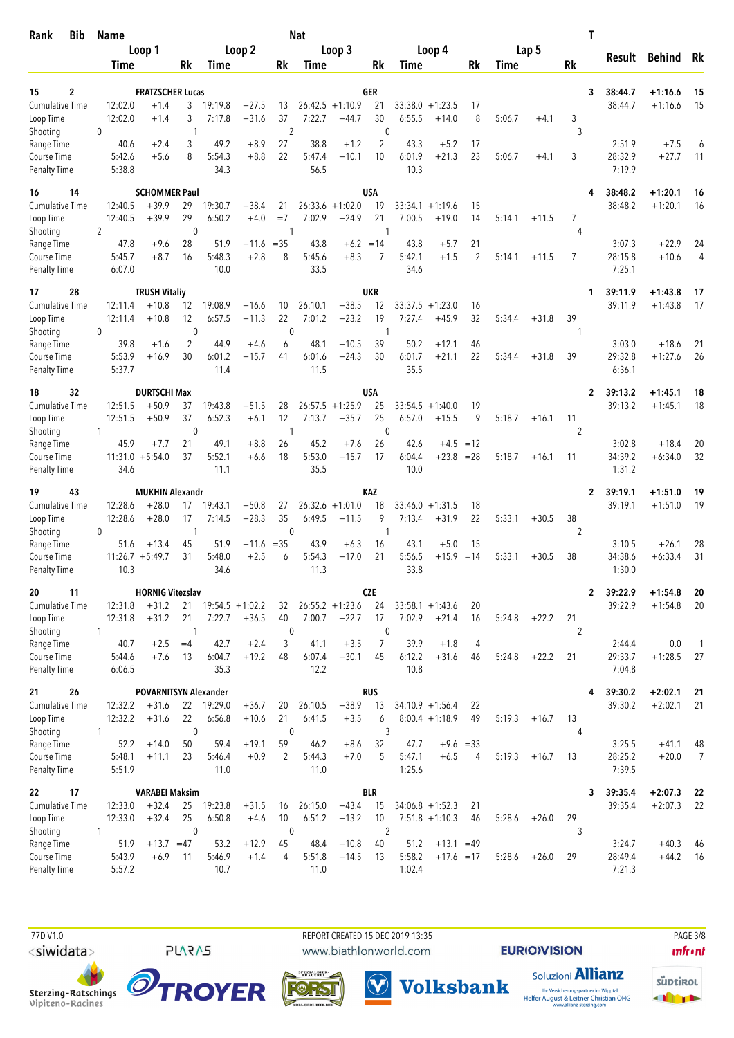| <b>Bib</b><br>Rank                 | Name             |                              |                               |                   |                    |                    | <b>Nat</b>        |                       |                        |                |                    |                      |        |         |         | Τ                       |        |                    |                |
|------------------------------------|------------------|------------------------------|-------------------------------|-------------------|--------------------|--------------------|-------------------|-----------------------|------------------------|----------------|--------------------|----------------------|--------|---------|---------|-------------------------|--------|--------------------|----------------|
|                                    |                  | Loop 1                       |                               |                   | Loop 2             |                    |                   | Loop 3                |                        |                | Loop 4             |                      |        | Lap 5   |         | Result                  |        | <b>Behind</b> Rk   |                |
|                                    | <b>Time</b>      |                              | Rk                            | Time              |                    | Rk                 | Time              |                       | Rk                     | Time           |                    | Rk                   | Time   |         | Rk      |                         |        |                    |                |
| 2                                  |                  | <b>FRATZSCHER Lucas</b>      |                               |                   |                    |                    |                   |                       |                        |                |                    |                      |        |         |         | 38:44.7                 |        | $+1:16.6$          |                |
| 15<br><b>Cumulative Time</b>       | 12:02.0          | $+1.4$                       | 3                             | 19:19.8           | $+27.5$            | 13                 |                   | $26:42.5 +1:10.9$     | GER<br>21              | 33:38.0        | $+1:23.5$          | 17                   |        |         |         | 3<br>38:44.7            |        | $+1:16.6$          | 15<br>15       |
| Loop Time                          | 12:02.0          | $+1.4$                       | 3                             | 7:17.8            | $+31.6$            | 37                 | 7:22.7            | $+44.7$               | 30                     | 6:55.5         | $+14.0$            | 8                    | 5:06.7 | $+4.1$  | 3       |                         |        |                    |                |
| Shooting                           | 0                |                              | 1                             |                   |                    | $\overline{2}$     |                   |                       | $\mathbf 0$            |                |                    |                      |        |         | 3       |                         |        |                    |                |
| Range Time                         | 40.6             | $+2.4$                       | 3                             | 49.2              | $+8.9$             | 27                 | 38.8              | $+1.2$                | 2                      | 43.3           | $+5.2$             | 17                   |        |         |         |                         | 2:51.9 | $+7.5$             |                |
| Course Time<br><b>Penalty Time</b> | 5:42.6<br>5:38.8 | $+5.6$                       | 8                             | 5:54.3<br>34.3    | $+8.8$             | 22                 | 5:47.4<br>56.5    | $+10.1$               | 10                     | 6:01.9<br>10.3 | $+21.3$            | 23                   | 5:06.7 | $+4.1$  | 3       | 28:32.9                 | 7:19.9 | $+27.7$            | 11             |
| 14<br>16                           |                  | <b>SCHOMMER Paul</b>         |                               |                   |                    |                    |                   |                       | <b>USA</b>             |                |                    |                      |        |         |         | 38:48.2                 |        | $+1:20.1$          | 16             |
| Cumulative Time                    | 12:40.5          | $+39.9$                      | 29                            | 19:30.7           | $+38.4$            | 21                 |                   | $26:33.6 + 1:02.0$    | 19                     | 33:34.1        | $+1:19.6$          | 15                   |        |         |         | 38:48.2                 |        | $+1:20.1$          | 16             |
| Loop Time                          | 12:40.5          | $+39.9$                      | 29                            | 6:50.2            | $+4.0$             | $=7$               | 7:02.9            | $+24.9$               | 21                     | 7:00.5         | $+19.0$            | 14                   | 5:14.1 | $+11.5$ | 7       |                         |        |                    |                |
| Shooting                           | 2                |                              | $\mathbf 0$                   |                   |                    | 1                  |                   |                       | -1                     |                |                    |                      |        |         | 4       |                         |        |                    |                |
| Range Time<br>Course Time          | 47.8<br>5:45.7   | $+9.6$<br>$+8.7$             | 28<br>16                      | 51.9<br>5:48.3    | +11.6<br>$+2.8$    | $= 35$<br>8        | 43.8<br>5:45.6    | $+6.2 = 14$<br>$+8.3$ | 7                      | 43.8<br>5:42.1 | $+5.7$<br>$+1.5$   | 21<br>$\overline{2}$ | 5:14.1 | $+11.5$ | 7       | 28:15.8                 | 3:07.3 | $+22.9$<br>$+10.6$ | 24<br>4        |
| <b>Penalty Time</b>                | 6:07.0           |                              |                               | 10.0              |                    |                    | 33.5              |                       |                        | 34.6           |                    |                      |        |         |         |                         | 7:25.1 |                    |                |
| 17<br>28                           |                  | <b>TRUSH Vitaliy</b>         |                               |                   |                    |                    |                   |                       | <b>UKR</b>             |                |                    |                      |        |         |         | 39:11.9<br>1            |        | $+1:43.8$          | 17             |
| <b>Cumulative Time</b>             | 12:11.4          | $+10.8$                      | 12                            | 19:08.9           | $+16.6$            | 10                 | 26:10.1           | $+38.5$               | 12                     | 33:37.5        | $+1:23.0$          | 16                   |        |         |         | 39:11.9                 |        | $+1:43.8$          | 17             |
| Loop Time                          | 12:11.4          | $+10.8$                      | 12                            | 6:57.5            | $+11.3$            | 22                 | 7:01.2            | $+23.2$               | 19                     | 7:27.4         | $+45.9$            | 32                   | 5:34.4 | $+31.8$ | 39      |                         |        |                    |                |
| Shooting<br>Range Time             | 0<br>39.8        | $+1.6$                       | $\mathbf 0$<br>$\overline{2}$ | 44.9              | $+4.6$             | $\mathbf 0$<br>6   | 48.1              | $+10.5$               | $\mathbf{1}$<br>39     | 50.2           | $+12.1$            | 46                   |        |         | 1       |                         | 3:03.0 | $+18.6$            | 21             |
| Course Time                        | 5:53.9           | $+16.9$                      | 30                            | 6:01.2            | $+15.7$            | 41                 | 6:01.6            | $+24.3$               | 30                     | 6:01.7         | $+21.1$            | 22                   | 5:34.4 | $+31.8$ | 39      | 29:32.8                 |        | $+1:27.6$          | 26             |
| <b>Penalty Time</b>                | 5:37.7           |                              |                               | 11.4              |                    |                    | 11.5              |                       |                        | 35.5           |                    |                      |        |         |         |                         | 6:36.1 |                    |                |
| 32<br>18                           |                  | <b>DURTSCHI Max</b>          |                               |                   |                    |                    |                   |                       | <b>USA</b>             |                |                    |                      |        |         |         | 39:13.2<br>2            |        | $+1:45.1$          | 18             |
| <b>Cumulative Time</b>             | 12:51.5          | $+50.9$                      | 37                            | 19:43.8           | $+51.5$            | 28                 |                   | $26:57.5 + 1:25.9$    | 25                     |                | $33:54.5 + 1:40.0$ | 19                   |        |         |         | 39:13.2                 |        | $+1:45.1$          | 18             |
| Loop Time                          | 12:51.5          | $+50.9$                      | 37                            | 6:52.3            | $+6.1$             | 12                 | 7:13.7            | $+35.7$               | 25                     | 6:57.0         | $+15.5$            | 9                    | 5:18.7 | $+16.1$ | 11      |                         |        |                    |                |
| Shooting<br>Range Time             | 1<br>45.9        | $+7.7$                       | $\mathbf 0$<br>21             | 49.1              | $+8.8$             | -1<br>26           | 45.2              | $+7.6$                | $\mathbf 0$<br>26      | 42.6           | $+4.5$             | $=12$                |        |         | 2       |                         | 3:02.8 | $+18.4$            | 20             |
| Course Time                        |                  | $11:31.0 + 5:54.0$           | 37                            | 5:52.1            | $+6.6$             | 18                 | 5:53.0            | $+15.7$               | 17                     | 6:04.4         | $+23.8$            | $= 28$               | 5:18.7 | $+16.1$ | 11      | 34:39.2                 |        | $+6:34.0$          | 32             |
| <b>Penalty Time</b>                | 34.6             |                              |                               | 11.1              |                    |                    | 35.5              |                       |                        | 10.0           |                    |                      |        |         |         |                         | 1:31.2 |                    |                |
| 43<br>19                           |                  | <b>MUKHIN Alexandr</b>       |                               |                   |                    |                    |                   |                       | KAZ                    |                |                    |                      |        |         |         | 39:19.1<br>2            |        | $+1:51.0$          | 19             |
| Cumulative Time                    | 12:28.6          | $+28.0$                      | 17                            | 19:43.1           | $+50.8$            | 27                 |                   | $26:32.6 +1:01.0$     | 18                     | 33:46.0        | $+1:31.5$          | 18                   |        |         |         | 39:19.1                 |        | $+1:51.0$          | 19             |
| Loop Time<br>Shooting              | 12:28.6<br>0     | $+28.0$                      | 17<br>1                       | 7:14.5            | $+28.3$            | 35<br>$\mathbf{0}$ | 6:49.5            | $+11.5$               | 9<br>$\mathbf{1}$      | 7:13.4         | $+31.9$            | 22                   | 5:33.1 | $+30.5$ | 38<br>2 |                         |        |                    |                |
| Range Time                         | 51.6             | $+13.4$                      | 45                            | 51.9              | $+11.6 = 35$       |                    | 43.9              | $+6.3$                | 16                     | 43.1           | $+5.0$             | 15                   |        |         |         |                         | 3:10.5 | $+26.1$            | 28             |
| Course Time                        |                  | $11:26.7 + 5:49.7$           | 31                            | 5:48.0            | $+2.5$             | 6                  | 5:54.3            | $+17.0$               | 21                     | 5:56.5         | $+15.9$            | $=14$                | 5:33.1 | $+30.5$ | 38      | 34:38.6                 |        | $+6:33.4$          | 31             |
| <b>Penalty Time</b>                | 10.3             |                              |                               | 34.6              |                    |                    | 11.3              |                       |                        | 33.8           |                    |                      |        |         |         |                         | 1:30.0 |                    |                |
| 20<br>11                           |                  | <b>HORNIG Vitezslav</b>      |                               |                   |                    |                    |                   |                       | <b>CZE</b>             |                |                    |                      |        |         |         | 39:22.9<br>$\mathbf{2}$ |        | $+1:54.8$          | 20             |
| <b>Cumulative Time</b>             | 12:31.8          | $+31.2$                      | 21                            |                   | $19:54.5 + 1:02.2$ | 32                 |                   | $26:55.2 + 1:23.6$    | 24                     |                | $33:58.1 + 1:43.6$ | 20                   |        |         |         | 39:22.9                 |        | $+1:54.8$          | 20             |
| Loop Time<br>Shooting              | 12:31.8<br>1     | $+31.2$                      | 21<br>1                       | 7:22.7            | $+36.5$            | 40<br>$\mathbf 0$  | 7:00.7            | $+22.7$               | 17<br>$\boldsymbol{0}$ | 7:02.9         | $+21.4$            | 16                   | 5:24.8 | $+22.2$ | 21<br>2 |                         |        |                    |                |
| Range Time                         | 40.7             | $+2.5$                       | $=4$                          | 42.7              | $+2.4$             | 3                  | 41.1              | $+3.5$                | $\overline{7}$         | 39.9           | $+1.8$             | 4                    |        |         |         |                         | 2:44.4 | 0.0                | $\overline{1}$ |
| Course Time                        | 5:44.6           | $+7.6$                       | 13                            | 6:04.7            | $+19.2$            | 48                 | 6:07.4            | $+30.1$               | 45                     | 6:12.2         | $+31.6$            | 46                   | 5:24.8 | $+22.2$ | 21      | 29:33.7                 |        | $+1:28.5$          | 27             |
| <b>Penalty Time</b>                | 6:06.5           |                              |                               | 35.3              |                    |                    | 12.2              |                       |                        | 10.8           |                    |                      |        |         |         |                         | 7:04.8 |                    |                |
| 26<br>21                           |                  | <b>POVARNITSYN Alexander</b> |                               |                   |                    |                    |                   |                       | <b>RUS</b>             |                |                    |                      |        |         |         | 39:30.2                 |        | $+2:02.1$          | 21             |
| <b>Cumulative Time</b>             | 12:32.2          | $+31.6$                      | 22                            | 19:29.0           | $+36.7$            | 20                 | 26:10.5           | $+38.9$               | 13                     |                | $34:10.9 +1:56.4$  | 22                   |        |         |         | 39:30.2                 |        | $+2:02.1$          | 21             |
| Loop Time<br>Shooting              | 12:32.2<br>1     | $+31.6$                      | 22<br>$\mathbf 0$             | 6:56.8            | $+10.6$            | 21<br>$\pmb{0}$    | 6:41.5            | $+3.5$                | 6<br>3                 |                | $8:00.4 +1:18.9$   | 49                   | 5:19.3 | $+16.7$ | 13<br>4 |                         |        |                    |                |
| Range Time                         | 52.2             | $+14.0$                      | 50                            | 59.4              | $+19.1$            | 59                 | 46.2              | $+8.6$                | 32                     | 47.7           | $+9.6 = 33$        |                      |        |         |         |                         | 3:25.5 | $+41.1$            | 48             |
| Course Time                        | 5:48.1           | $+11.1$                      | 23                            | 5:46.4            | $+0.9$             | 2                  | 5:44.3            | $+7.0$                | 5                      | 5:47.1         | $+6.5$             | 4                    | 5:19.3 | $+16.7$ | 13      | 28:25.2                 |        | $+20.0$            | $\overline{7}$ |
| <b>Penalty Time</b>                | 5:51.9           |                              |                               | 11.0              |                    |                    | 11.0              |                       |                        | 1:25.6         |                    |                      |        |         |         |                         | 7:39.5 |                    |                |
| 17<br>22                           |                  | <b>VARABEI Maksim</b>        |                               |                   |                    |                    |                   |                       | <b>BLR</b>             |                |                    |                      |        |         |         | 39:35.4<br>3            |        | $+2:07.3$          | - 22           |
| Cumulative Time                    | 12:33.0          | $+32.4$<br>$+32.4$           | 25<br>25                      | 19:23.8<br>6:50.8 | $+31.5$<br>$+4.6$  | 16<br>10           | 26:15.0<br>6:51.2 | $+43.4$               | 15                     |                | $34:06.8 + 1:52.3$ | 21                   | 5:28.6 |         | 29      | 39:35.4                 |        | $+2:07.3$          | -22            |
| Loop Time<br>Shooting              | 12:33.0<br>1     |                              | $\mathbf 0$                   |                   |                    | $\mathbf 0$        |                   | $+13.2$               | 10<br>$\overline{2}$   |                | $7:51.8 +1:10.3$   | 46                   |        | $+26.0$ | 3       |                         |        |                    |                |
| Range Time                         | 51.9             | $+13.7 = 47$                 |                               | 53.2              | $+12.9$            | 45                 | 48.4              | $+10.8$               | 40                     | 51.2           | $+13.1 = 49$       |                      |        |         |         |                         | 3:24.7 | $+40.3$            | -46            |
| Course Time                        | 5:43.9           | $+6.9$                       | 11                            | 5:46.9            | $+1.4$             | 4                  | 5:51.8            | $+14.5$               | 13                     | 5:58.2         | $+17.6 = 17$       |                      | 5:28.6 | $+26.0$ | 29      | 28:49.4                 |        | $+44.2$            | - 16           |
| Penalty Time                       | 5:57.2           |                              |                               | 10.7              |                    |                    | 11.0              |                       |                        | 1:02.4         |                    |                      |        |         |         |                         | 7:21.3 |                    |                |

Sterzing-Ratschings<br>Vipiteno-Racines

 77D V1.0 REPORT CREATED 15 DEC 2019 13:35 PAGE 3/8www.biathlonworld.com



 $(\blacktriangledown)$ 

Soluzioni **Allianz Volksbank** Ihr Versicherungspartner im Wipptal<br>Helfer August & Leitner Christian OHG<br>www.allianz-sterzing.com

**EURIOVISION** 

**unfront** 



**TROYER** 

**PLARAS**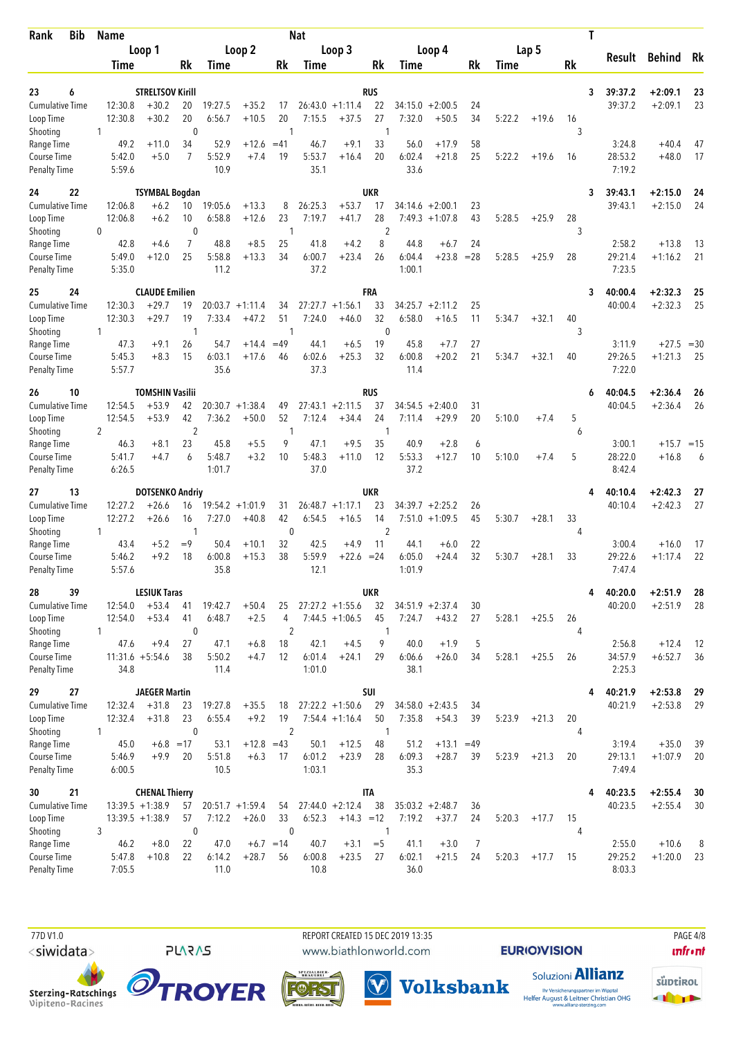| <b>Bib</b><br>Rank                 | Name         |                  |                                    |                      |                |                    |                | <b>Nat</b>     |                    |                    |                  |                    |                |        |         |        | Τ                       |                        |           |
|------------------------------------|--------------|------------------|------------------------------------|----------------------|----------------|--------------------|----------------|----------------|--------------------|--------------------|------------------|--------------------|----------------|--------|---------|--------|-------------------------|------------------------|-----------|
|                                    |              |                  | Loop 1                             |                      |                | Loop 2             |                |                | Loop 3             |                    |                  | Loop 4             |                |        | Lap 5   |        |                         | <b>Behind</b>          |           |
|                                    |              | Time             |                                    | Rk                   | <b>Time</b>    |                    | Rk             | Time           |                    | Rk                 | Time             |                    | Rk             | Time   |         | Rk     | Result                  |                        | Rk        |
|                                    |              |                  |                                    |                      |                |                    |                |                |                    |                    |                  |                    |                |        |         |        |                         |                        |           |
| 23<br>6<br><b>Cumulative Time</b>  |              | 12:30.8          | <b>STRELTSOV Kirill</b><br>$+30.2$ | 20                   | 19:27.5        | $+35.2$            | 17             |                | $26:43.0 +1:11.4$  | <b>RUS</b><br>22   | 34:15.0          | $+2:00.5$          | 24             |        |         |        | 39:37.2<br>3<br>39:37.2 | $+2:09.1$<br>$+2:09.1$ | 23<br>23  |
| Loop Time                          |              | 12:30.8          | $+30.2$                            | 20                   | 6:56.7         | $+10.5$            | 20             | 7:15.5         | $+37.5$            | 27                 | 7:32.0           | $+50.5$            | 34             | 5:22.2 | $+19.6$ | 16     |                         |                        |           |
| Shooting                           | 1            |                  |                                    | $\mathbf 0$          |                |                    | 1              |                |                    | $\mathbf{1}$       |                  |                    |                |        |         | 3      |                         |                        |           |
| Range Time                         |              | 49.2             | $+11.0$                            | 34                   | 52.9           | $+12.6$            | $=41$          | 46.7           | $+9.1$             | 33                 | 56.0             | $+17.9$            | 58             |        |         |        | 3:24.8                  | $+40.4$                | 47        |
| Course Time                        |              | 5:42.0           | $+5.0$                             | $\overline{7}$       | 5:52.9         | $+7.4$             | 19             | 5:53.7         | $+16.4$            | 20                 | 6:02.4           | $+21.8$            | 25             | 5:22.2 | $+19.6$ | 16     | 28:53.2                 | $+48.0$                | 17        |
| <b>Penalty Time</b>                |              | 5:59.6           |                                    |                      | 10.9           |                    |                | 35.1           |                    |                    | 33.6             |                    |                |        |         |        | 7:19.2                  |                        |           |
| 22<br>24                           |              |                  | <b>TSYMBAL Bogdan</b>              |                      |                |                    |                |                |                    | <b>UKR</b>         |                  |                    |                |        |         |        | 3<br>39:43.1            | $+2:15.0$              | 24        |
| Cumulative Time                    |              | 12:06.8          | $+6.2$                             | 10                   | 19:05.6        | $+13.3$            | 8              | 26:25.3        | $+53.7$            | 17                 |                  | $34:14.6 + 2:00.1$ | 23             |        |         |        | 39:43.1                 | $+2:15.0$              | 24        |
| Loop Time                          |              | 12:06.8          | $+6.2$                             | 10                   | 6:58.8         | $+12.6$            | 23             | 7:19.7         | $+41.7$            | 28                 |                  | $7:49.3 +1:07.8$   | 43             | 5:28.5 | $+25.9$ | 28     |                         |                        |           |
| Shooting                           | 0            |                  |                                    | $\mathbf 0$          |                |                    | 1              |                |                    | 2                  |                  |                    |                |        |         | 3      |                         |                        |           |
| Range Time<br>Course Time          |              | 42.8<br>5:49.0   | $+4.6$<br>$+12.0$                  | $\overline{7}$<br>25 | 48.8<br>5:58.8 | $+8.5$<br>$+13.3$  | 25<br>34       | 41.8<br>6:00.7 | $+4.2$<br>$+23.4$  | 8<br>26            | 44.8<br>6:04.4   | $+6.7$<br>$+23.8$  | 24<br>$= 28$   | 5:28.5 | $+25.9$ | 28     | 2:58.2<br>29:21.4       | $+13.8$<br>$+1:16.2$   | -13<br>21 |
| <b>Penalty Time</b>                |              | 5:35.0           |                                    |                      | 11.2           |                    |                | 37.2           |                    |                    | 1:00.1           |                    |                |        |         |        | 7:23.5                  |                        |           |
| 24<br>25                           |              |                  | <b>CLAUDE Emilien</b>              |                      |                |                    |                |                |                    | FRA                |                  |                    |                |        |         |        | 40:00.4<br>3            | $+2:32.3$              | 25        |
| Cumulative Time                    |              | 12:30.3          | $+29.7$                            | 19                   |                | $20:03.7 +1:11.4$  | 34             |                | $27:27.7 + 1:56.1$ | 33                 | 34:25.7          | $+2:11.2$          | 25             |        |         |        | 40:00.4                 | $+2:32.3$              | 25        |
| Loop Time                          |              | 12:30.3          | $+29.7$                            | 19                   | 7:33.4         | $+47.2$            | 51             | 7:24.0         | $+46.0$            | 32                 | 6:58.0           | $+16.5$            | 11             | 5:34.7 | $+32.1$ | 40     |                         |                        |           |
| Shooting                           | 1            |                  |                                    | 1                    |                |                    | 1              |                |                    | $\mathbf{0}$       |                  |                    |                |        |         | 3      |                         |                        |           |
| Range Time                         |              | 47.3             | $+9.1$                             | 26                   | 54.7           | $+14.4$            | $=49$          | 44.1           | $+6.5$             | 19                 | 45.8             | $+7.7$             | 27             |        |         |        | 3:11.9                  | $+27.5$                | $=30$     |
| Course Time                        |              | 5:45.3<br>5:57.7 | $+8.3$                             | 15                   | 6:03.1<br>35.6 | $+17.6$            | 46             | 6:02.6<br>37.3 | $+25.3$            | 32                 | 6:00.8<br>11.4   | $+20.2$            | 21             | 5:34.7 | $+32.1$ | 40     | 29:26.5<br>7:22.0       | $+1:21.3$              | 25        |
| <b>Penalty Time</b>                |              |                  |                                    |                      |                |                    |                |                |                    |                    |                  |                    |                |        |         |        |                         |                        |           |
| 10<br>26                           |              |                  | <b>TOMSHIN Vasilii</b>             |                      |                |                    |                |                |                    | <b>RUS</b>         |                  |                    |                |        |         |        | 40:04.5<br>6            | $+2:36.4$              | 26        |
| <b>Cumulative Time</b>             |              | 12:54.5          | $+53.9$                            | 42                   |                | $20:30.7 + 1:38.4$ | 49             |                | $27:43.1 + 2:11.5$ | 37                 | 34:54.5          | $+2:40.0$          | 31             |        |         |        | 40:04.5                 | $+2:36.4$              | 26        |
| Loop Time<br>Shooting              | 2            | 12:54.5          | $+53.9$                            | 42<br>$\overline{2}$ | 7:36.2         | $+50.0$            | 52<br>1        | 7:12.4         | $+34.4$            | 24<br>-1           | 7:11.4           | $+29.9$            | 20             | 5:10.0 | $+7.4$  | 5<br>6 |                         |                        |           |
| Range Time                         |              | 46.3             | $+8.1$                             | 23                   | 45.8           | $+5.5$             | 9              | 47.1           | $+9.5$             | 35                 | 40.9             | $+2.8$             | 6              |        |         |        | 3:00.1                  | $+15.7 = 15$           |           |
| Course Time                        |              | 5:41.7           | $+4.7$                             | 6                    | 5:48.7         | $+3.2$             | 10             | 5:48.3         | $+11.0$            | 12                 | 5:53.3           | $+12.7$            | 10             | 5:10.0 | $+7.4$  | 5      | 28:22.0                 | $+16.8$                | 6         |
| <b>Penalty Time</b>                |              | 6:26.5           |                                    |                      | 1:01.7         |                    |                | 37.0           |                    |                    | 37.2             |                    |                |        |         |        | 8:42.4                  |                        |           |
| 13<br>27                           |              |                  | <b>DOTSENKO Andriy</b>             |                      |                |                    |                |                |                    | UKR                |                  |                    |                |        |         |        | 40:10.4                 | $+2:42.3$              | 27        |
| <b>Cumulative Time</b>             |              | 12:27.2          | $+26.6$                            | 16                   |                | $19:54.2 + 1:01.9$ | 31             |                | $26:48.7 + 1:17.1$ | 23                 |                  | $34:39.7 + 2:25.2$ | 26             |        |         |        | 40:10.4                 | $+2:42.3$              | 27        |
| Loop Time                          |              | 12:27.2          | $+26.6$                            | 16                   | 7:27.0         | $+40.8$            | 42             | 6:54.5         | $+16.5$            | 14                 | 7:51.0           | $+1:09.5$          | 45             | 5:30.7 | $+28.1$ | 33     |                         |                        |           |
| Shooting                           | $\mathbf{1}$ |                  |                                    | 1                    |                |                    | $\mathbf 0$    |                |                    | $\overline{2}$     |                  |                    |                |        |         | 4      |                         |                        |           |
| Range Time                         |              | 43.4             | $+5.2$                             | $=9$                 | 50.4           | $+10.1$            | 32             | 42.5           | $+4.9$             | 11                 | 44.1             | $+6.0$             | 22             |        |         |        | 3:00.4                  | $+16.0$                | 17        |
| Course Time<br><b>Penalty Time</b> |              | 5:46.2<br>5:57.6 | $+9.2$                             | 18                   | 6:00.8<br>35.8 | $+15.3$            | 38             | 5:59.9<br>12.1 | $+22.6 = 24$       |                    | 6:05.0<br>1:01.9 | $+24.4$            | 32             | 5:30.7 | $+28.1$ | 33     | 29:22.6<br>7:47.4       | $+1:17.4$              | 22        |
|                                    |              |                  |                                    |                      |                |                    |                |                |                    |                    |                  |                    |                |        |         |        |                         |                        |           |
| 39<br>28<br>Cumulative Time        |              | 12:54.0          | <b>LESIUK Taras</b><br>$+53.4$     | 41                   | 19:42.7        | $+50.4$            | 25             |                | $27:27.2 + 1:55.6$ | <b>UKR</b><br>32   |                  | $34:51.9 + 2:37.4$ | 30             |        |         |        | 40:20.0<br>4<br>40:20.0 | $+2:51.9$<br>$+2:51.9$ | 28<br>-28 |
| Loop Time                          |              | 12:54.0          | $+53.4$                            | 41                   | 6:48.7         | $+2.5$             | 4              |                | $7:44.5 +1:06.5$   | 45                 | 7:24.7           | $+43.2$            | 27             | 5:28.1 | $+25.5$ | 26     |                         |                        |           |
| Shooting                           | 1            |                  |                                    | 0                    |                |                    | $\overline{2}$ |                |                    | -1                 |                  |                    |                |        |         | 4      |                         |                        |           |
| Range Time                         |              | 47.6             | $+9.4$                             | 27                   | 47.1           | $+6.8$             | 18             | 42.1           | $+4.5$             | 9                  | 40.0             | $+1.9$             | 5              |        |         |        | 2:56.8                  | $+12.4$                | 12        |
| Course Time                        |              |                  | $11:31.6 + 5:54.6$                 | 38                   | 5:50.2         | $+4.7$             | 12             | 6:01.4         | $+24.1$            | 29                 | 6:06.6           | $+26.0$            | 34             | 5:28.1 | $+25.5$ | 26     | 34:57.9                 | $+6:52.7$              | 36        |
| <b>Penalty Time</b>                |              | 34.8             |                                    |                      | 11.4           |                    |                | 1:01.0         |                    |                    | 38.1             |                    |                |        |         |        | 2:25.3                  |                        |           |
| 27<br>29                           |              |                  | <b>JAEGER Martin</b>               |                      |                |                    |                |                |                    | SUI                |                  |                    |                |        |         |        | 40:21.9                 | $+2:53.8$              | 29        |
| <b>Cumulative Time</b>             |              | 12:32.4          | $+31.8$                            | 23                   | 19:27.8        | $+35.5$            | 18             |                | $27:22.2 +1:50.6$  | 29                 |                  | $34:58.0 + 2:43.5$ | 34             |        |         |        | 40:21.9                 | $+2:53.8$              | 29        |
| Loop Time                          |              | 12:32.4          | $+31.8$                            | 23                   | 6:55.4         | $+9.2$             | 19             |                | $7:54.4 +1:16.4$   | 50                 | 7:35.8           | $+54.3$            | 39             | 5:23.9 | $+21.3$ | 20     |                         |                        |           |
| Shooting<br>Range Time             | 1            |                  | $+6.8 = 17$                        | $\mathbf 0$          |                | $+12.8 = 43$       | $\overline{2}$ | 50.1           |                    | $\mathbf{1}$<br>48 | 51.2             | $+13.1$            |                |        |         | 4      | 3:19.4                  | $+35.0$                |           |
| Course Time                        |              | 45.0<br>5:46.9   | $+9.9$                             | 20                   | 53.1<br>5:51.8 | $+6.3$             | 17             | 6:01.2         | $+12.5$<br>$+23.9$ | 28                 | 6:09.3           | $+28.7$            | $=49$<br>39    | 5:23.9 | $+21.3$ | 20     | 29:13.1                 | $+1:07.9$              | 39<br>20  |
| <b>Penalty Time</b>                |              | 6:00.5           |                                    |                      | 10.5           |                    |                | 1:03.1         |                    |                    | 35.3             |                    |                |        |         |        | 7:49.4                  |                        |           |
| 21<br>30                           |              |                  | <b>CHENAL Thierry</b>              |                      |                |                    |                |                |                    | <b>ITA</b>         |                  |                    |                |        |         |        | 40:23.5<br>4            | $+2:55.4$              | 30        |
| Cumulative Time                    |              |                  | $13:39.5 +1:38.9$                  | 57                   |                | $20:51.7 + 1:59.4$ | 54             |                | $27:44.0 + 2:12.4$ | 38                 |                  | $35:03.2 +2:48.7$  | 36             |        |         |        | 40:23.5                 | $+2:55.4$              | 30        |
| Loop Time                          |              |                  | $13:39.5 +1:38.9$                  | 57                   | 7:12.2         | $+26.0$            | 33             | 6:52.3         | $+14.3 = 12$       |                    | 7:19.2           | $+37.7$            | 24             | 5:20.3 | $+17.7$ | 15     |                         |                        |           |
| Shooting                           | 3            |                  |                                    | $\mathbf 0$          |                |                    | 0              |                |                    | $\mathbf{1}$       |                  |                    |                |        |         | 4      |                         |                        |           |
| Range Time                         |              | 46.2             | $+8.0$                             | 22                   | 47.0           | $+6.7 = 14$        |                | 40.7           | $+3.1$             | $=$ 5              | 41.1             | $+3.0$             | $\overline{7}$ |        |         |        | 2:55.0                  | $+10.6$                | 8         |
| Course Time<br>Penalty Time        |              | 5:47.8<br>7:05.5 | $+10.8$                            | 22                   | 6:14.2<br>11.0 | $+28.7$            | 56             | 6:00.8<br>10.8 | $+23.5$            | 27                 | 6:02.1<br>36.0   | $+21.5$            | 24             | 5:20.3 | $+17.7$ | 15     | 29:25.2<br>8:03.3       | $+1:20.0$              | 23        |
|                                    |              |                  |                                    |                      |                |                    |                |                |                    |                    |                  |                    |                |        |         |        |                         |                        |           |

 77D V1.0 REPORT CREATED 15 DEC 2019 13:35 PAGE 4/8www.biathlonworld.com

 $(\blacktriangledown)$ 

**EURIOVISION** 

**unfront** 





**PLARAS** 





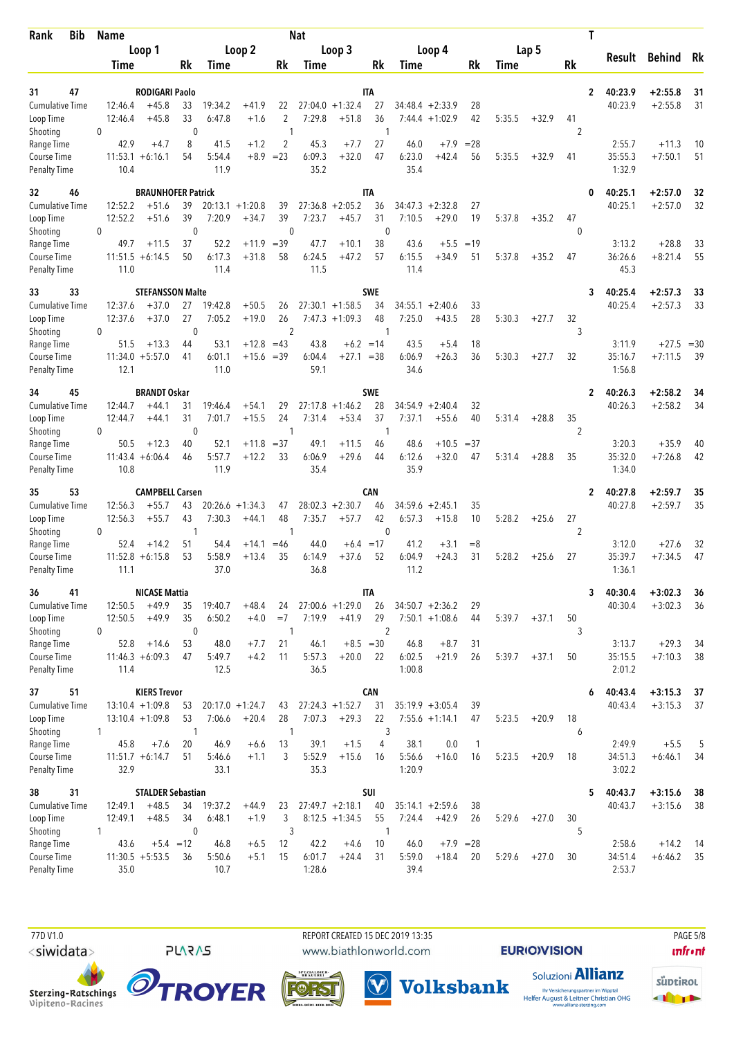| Rank                                | <b>Bib</b> | <b>Name</b>        |                                   |                    |                   |                    |                          | <b>Nat</b>     |                                        |                   |                   |                               |              |        |         |                   | Τ            |                    |                        |          |
|-------------------------------------|------------|--------------------|-----------------------------------|--------------------|-------------------|--------------------|--------------------------|----------------|----------------------------------------|-------------------|-------------------|-------------------------------|--------------|--------|---------|-------------------|--------------|--------------------|------------------------|----------|
|                                     |            |                    | Loop 1                            |                    |                   | Loop 2             |                          |                | Loop 3                                 |                   |                   | Loop 4                        |              |        | Lap 5   |                   |              | Result             | <b>Behind</b>          | Rk       |
|                                     |            | <b>Time</b>        |                                   | Rk                 | Time              |                    | Rk                       | Time           |                                        | Rk                | Time              |                               | Rk           | Time   |         | Rk                |              |                    |                        |          |
| 31                                  |            |                    |                                   |                    |                   |                    |                          |                |                                        | <b>ITA</b>        |                   |                               |              |        |         |                   |              |                    |                        |          |
| 47<br><b>Cumulative Time</b>        |            | 12:46.4            | RODIGARI Paolo<br>$+45.8$         | 33                 | 19:34.2           | $+41.9$            | 22                       |                | $27:04.0 + 1:32.4$                     | 27                |                   | 34:48.4 +2:33.9               | 28           |        |         |                   | $\mathbf{2}$ | 40:23.9<br>40:23.9 | $+2:55.8$<br>$+2:55.8$ | 31<br>31 |
| Loop Time                           |            | 12:46.4            | $+45.8$                           | 33                 | 6:47.8            | $+1.6$             | 2                        | 7:29.8         | $+51.8$                                | 36                |                   | $7:44.4 +1:02.9$              | 42           | 5:35.5 | $+32.9$ | 41                |              |                    |                        |          |
| Shooting                            |            | 0                  |                                   | $\mathbf 0$        |                   |                    | $\mathbf{1}$             |                |                                        | $\mathbf{1}$      |                   |                               |              |        |         | 2                 |              |                    |                        |          |
| Range Time<br>Course Time           |            | 42.9<br>11:53.1    | $+4.7$<br>$+6:16.1$               | 8<br>54            | 41.5<br>5:54.4    | $+1.2$<br>$+8.9$   | $\overline{2}$<br>$= 23$ | 45.3<br>6:09.3 | $+7.7$<br>$+32.0$                      | 27<br>47          | 46.0<br>6:23.0    | $+7.9$<br>$+42.4$             | $= 28$<br>56 | 5:35.5 | $+32.9$ | 41                |              | 2:55.7<br>35:55.3  | $+11.3$<br>$+7:50.1$   | 10<br>51 |
| <b>Penalty Time</b>                 |            | 10.4               |                                   |                    | 11.9              |                    |                          | 35.2           |                                        |                   | 35.4              |                               |              |        |         |                   |              | 1:32.9             |                        |          |
| 32<br>46                            |            |                    | <b>BRAUNHOFER Patrick</b>         |                    |                   |                    |                          |                |                                        | IΤA               |                   |                               |              |        |         |                   | 0            | 40:25.1            | $+2:57.0$              | 32       |
| Cumulative Time                     |            | 12:52.2            | $+51.6$                           | 39                 |                   | $20:13.1 + 1:20.8$ | 39                       |                | $27:36.8 + 2:05.2$                     | 36                | 34:47.3           | $+2:32.8$                     | 27           |        |         |                   |              | 40:25.1            | $+2:57.0$              | 32       |
| Loop Time<br>Shooting               |            | 12:52.2<br>0       | $+51.6$                           | 39<br>$\mathbf 0$  | 7:20.9            | $+34.7$            | 39<br>$\mathbf{0}$       | 7:23.7         | $+45.7$                                | 31<br>$\mathbf 0$ | 7:10.5            | $+29.0$                       | 19           | 5:37.8 | $+35.2$ | 47<br>$\mathbf 0$ |              |                    |                        |          |
| Range Time                          |            | 49.7               | $+11.5$                           | 37                 | 52.2              | $+11.9$            | $=39$                    | 47.7           | $+10.1$                                | 38                | 43.6              | $+5.5$                        | $=19$        |        |         |                   |              | 3:13.2             | $+28.8$                | 33       |
| Course Time                         |            |                    | $11:51.5 + 6:14.5$                | 50                 | 6:17.3            | $+31.8$            | 58                       | 6:24.5         | $+47.2$                                | 57                | 6:15.5            | $+34.9$                       | 51           | 5:37.8 | $+35.2$ | 47                |              | 36:26.6            | $+8:21.4$              | 55       |
| <b>Penalty Time</b>                 |            | 11.0               |                                   |                    | 11.4              |                    |                          | 11.5           |                                        |                   | 11.4              |                               |              |        |         |                   |              | 45.3               |                        |          |
| 33<br>33                            |            |                    | <b>STEFANSSON Malte</b>           |                    |                   |                    |                          |                |                                        | <b>SWE</b>        |                   |                               |              |        |         |                   | 3            | 40:25.4            | $+2:57.3$              | 33<br>33 |
| Cumulative Time<br>Loop Time        |            | 12:37.6<br>12:37.6 | $+37.0$<br>$+37.0$                | 27<br>27           | 19:42.8<br>7:05.2 | $+50.5$<br>$+19.0$ | 26<br>26                 |                | $27:30.1 + 1:58.5$<br>$7:47.3 +1:09.3$ | 34<br>48          | 34:55.1<br>7:25.0 | $+2:40.6$<br>$+43.5$          | 33<br>28     | 5:30.3 | $+27.7$ | 32                |              | 40:25.4            | $+2:57.3$              |          |
| Shooting                            |            | 0                  |                                   | $\mathbf 0$        |                   |                    | $\overline{2}$           |                |                                        | -1                |                   |                               |              |        |         | 3                 |              |                    |                        |          |
| Range Time                          |            | 51.5               | $+13.3$                           | 44                 | 53.1              | $+12.8$            | $=43$                    | 43.8           | $+6.2 = 14$                            |                   | 43.5              | $+5.4$                        | 18           |        |         |                   |              | 3:11.9             | $+27.5$                | $=30$    |
| Course Time<br><b>Penalty Time</b>  |            | 12.1               | $11:34.0 + 5:57.0$                | 41                 | 6:01.1<br>11.0    | $+15.6 = 39$       |                          | 6:04.4<br>59.1 | $+27.1 = 38$                           |                   | 6:06.9<br>34.6    | $+26.3$                       | 36           | 5:30.3 | $+27.7$ | 32                |              | 35:16.7<br>1:56.8  | $+7:11.5$              | 39       |
|                                     |            |                    |                                   |                    |                   |                    |                          |                |                                        |                   |                   |                               |              |        |         |                   |              |                    |                        |          |
| 45<br>34<br><b>Cumulative Time</b>  |            | 12:44.7            | <b>BRANDT Oskar</b><br>$+44.1$    | 31                 | 19:46.4           | $+54.1$            | 29                       |                | $27:17.8 + 1:46.2$                     | <b>SWE</b><br>28  | 34:54.9           | $+2:40.4$                     | 32           |        |         |                   | $\mathbf{2}$ | 40:26.3<br>40:26.3 | $+2:58.2$<br>$+2:58.2$ | 34<br>34 |
| Loop Time                           |            | 12:44.7            | $+44.1$                           | 31                 | 7:01.7            | $+15.5$            | 24                       | 7:31.4         | $+53.4$                                | 37                | 7:37.1            | $+55.6$                       | 40           | 5:31.4 | $+28.8$ | 35                |              |                    |                        |          |
| Shooting                            |            | 0                  |                                   | $\mathbf 0$        |                   |                    | 1                        |                |                                        | -1                |                   |                               |              |        |         | $\overline{2}$    |              |                    |                        |          |
| Range Time                          |            | 50.5               | $+12.3$                           | 40                 | 52.1              | $+11.8$            | $= 37$                   | 49.1           | $+11.5$                                | 46                | 48.6              | $+10.5$                       | $=37$        |        |         |                   |              | 3:20.3             | $+35.9$                | 40       |
| Course Time<br><b>Penalty Time</b>  |            | 10.8               | $11:43.4 + 6:06.4$                | 46                 | 5:57.7<br>11.9    | $+12.2$            | 33                       | 6:06.9<br>35.4 | $+29.6$                                | 44                | 6:12.6<br>35.9    | $+32.0$                       | 47           | 5:31.4 | $+28.8$ | 35                |              | 35:32.0<br>1:34.0  | $+7:26.8$              | 42       |
|                                     |            |                    |                                   |                    |                   |                    |                          |                |                                        |                   |                   |                               |              |        |         |                   |              |                    |                        |          |
| 53<br>35<br>Cumulative Time         |            | 12:56.3            | <b>CAMPBELL Carsen</b><br>$+55.7$ | 43                 |                   | $20:26.6 + 1:34.3$ | 47                       |                | $28:02.3 + 2:30.7$                     | CAN<br>46         | 34:59.6           | $+2:45.1$                     | 35           |        |         |                   | 2            | 40:27.8<br>40:27.8 | $+2:59.7$<br>$+2:59.7$ | 35<br>35 |
| Loop Time                           |            | 12:56.3            | $+55.7$                           | 43                 | 7:30.3            | $+44.1$            | 48                       | 7:35.7         | $+57.7$                                | 42                | 6:57.3            | $+15.8$                       | 10           | 5:28.2 | $+25.6$ | 27                |              |                    |                        |          |
| Shooting                            |            | 0                  |                                   | 1                  |                   |                    | $\mathbf{1}$             |                |                                        | $\mathbf{0}$      |                   |                               |              |        |         | 2                 |              |                    |                        |          |
| Range Time                          |            | 52.4               | $+14.2$                           | 51<br>53           | 54.4              | $+14.1$            | $=46$                    | 44.0           | $+6.4 = 17$                            |                   | 41.2<br>6:04.9    | $+3.1$                        | $=8$         |        |         |                   |              | 3:12.0             | $+27.6$                | 32<br>47 |
| Course Time<br><b>Penalty Time</b>  |            | 11:52.8<br>11.1    | $+6:15.8$                         |                    | 5:58.9<br>37.0    | $+13.4$            | 35                       | 6:14.9<br>36.8 | $+37.6$                                | 52                | 11.2              | $+24.3$                       | 31           | 5:28.2 | $+25.6$ | 27                |              | 35:39.7<br>1:36.1  | $+7:34.5$              |          |
| 41<br>36                            |            |                    | <b>NICASE Mattia</b>              |                    |                   |                    |                          |                |                                        | <b>ITA</b>        |                   |                               |              |        |         |                   | 3            | 40:30.4            | $+3:02.3$              | 36       |
| Cumulative Time                     |            | 12:50.5            | $+49.9$                           | 35                 | 19:40.7           | $+48.4$            | 24                       |                | $27:00.6 + 1:29.0$                     | 26                |                   | $34:50.7 + 2:36.2$            | 29           |        |         |                   |              | 40:30.4            | $+3:02.3$              | 36       |
| Loop Time                           |            | 12:50.5            | $+49.9$                           | 35                 | 6:50.2            | $+4.0$             | $=7$                     | 7:19.9         | $+41.9$                                | 29                |                   | $7:50.1 + 1:08.6$             | 44           | 5:39.7 | $+37.1$ | 50                |              |                    |                        |          |
| Shooting<br>Range Time              |            | 0<br>52.8          | $+14.6$                           | $\mathbf 0$<br>53  | 48.0              | $+7.7$             | 1<br>21                  | 46.1           | $+8.5 = 30$                            | 2                 | 46.8              | $+8.7$                        | 31           |        |         | 3                 |              | 3:13.7             | $+29.3$                | -34      |
| Course Time                         |            |                    | $11:46.3 + 6:09.3$                | 47                 | 5:49.7            | $+4.2$             | 11                       | 5:57.3         | $+20.0$                                | 22                | 6:02.5            | $+21.9$                       | 26           | 5:39.7 | $+37.1$ | 50                |              | 35:15.5            | $+7:10.3$              | 38       |
| <b>Penalty Time</b>                 |            | 11.4               |                                   |                    | 12.5              |                    |                          | 36.5           |                                        |                   | 1:00.8            |                               |              |        |         |                   |              | 2:01.2             |                        |          |
| 51<br>37                            |            |                    | <b>KIERS Trevor</b>               |                    |                   |                    |                          |                |                                        | CAN               |                   |                               |              |        |         |                   | 6            | 40:43.4            | $+3:15.3$              | 37       |
| <b>Cumulative Time</b>              |            |                    | $13:10.4 +1:09.8$                 | 53                 |                   | $20:17.0 +1:24.7$  | 43                       |                | $27:24.3 +1:52.7$                      | 31                |                   | $35:19.9 + 3:05.4$            | 39           |        |         |                   |              | 40:43.4            | $+3:15.3$              | 37       |
| Loop Time<br>Shooting               |            | 1                  | $13:10.4 + 1:09.8$                | 53<br>$\mathbf{1}$ | 7:06.6            | $+20.4$            | 28<br>$\mathbf{1}$       | 7:07.3         | $+29.3$                                | 22<br>3           |                   | $7:55.6 + 1:14.1$             | 47           | 5:23.5 | $+20.9$ | 18<br>6           |              |                    |                        |          |
| Range Time                          |            | 45.8               | $+7.6$                            | 20                 | 46.9              | $+6.6$             | 13                       | 39.1           | $+1.5$                                 | 4                 | 38.1              | 0.0                           | $\mathbf{1}$ |        |         |                   |              | 2:49.9             | $+5.5$                 | 5        |
| Course Time                         |            |                    | $11:51.7 + 6:14.7$                | 51                 | 5:46.6            | $+1.1$             | 3                        | 5:52.9         | $+15.6$                                | 16                | 5:56.6            | $+16.0$                       | 16           | 5:23.5 | $+20.9$ | 18                |              | 34:51.3            | $+6:46.1$              | 34       |
| <b>Penalty Time</b>                 |            | 32.9               |                                   |                    | 33.1              |                    |                          | 35.3           |                                        |                   | 1:20.9            |                               |              |        |         |                   |              | 3:02.2             |                        |          |
| 31<br>38                            |            |                    | <b>STALDER Sebastian</b>          |                    |                   |                    |                          |                |                                        | SUI               |                   |                               |              |        |         |                   | 5            | 40:43.7            | $+3:15.6$              | 38       |
| <b>Cumulative Time</b><br>Loop Time |            | 12:49.1<br>12:49.1 | $+48.5$<br>$+48.5$                | 34<br>34           | 19:37.2<br>6:48.1 | $+44.9$<br>$+1.9$  | 23<br>3                  |                | $27:49.7 + 2:18.1$<br>$8:12.5 +1:34.5$ | 40<br>55          | 7:24.4            | $35:14.1 + 2:59.6$<br>$+42.9$ | 38<br>26     | 5:29.6 | $+27.0$ | 30                |              | 40:43.7            | $+3:15.6$              | -38      |
| Shooting                            |            | 1                  |                                   | $\mathbf{0}$       |                   |                    | 3                        |                |                                        | $\mathbf{1}$      |                   |                               |              |        |         | 5                 |              |                    |                        |          |
| Range Time                          |            | 43.6               |                                   | $+5.4 = 12$        | 46.8              | $+6.5$             | 12                       | 42.2           | $+4.6$                                 | 10                | 46.0              | $+7.9$ = 28                   |              |        |         |                   |              | 2:58.6             | $+14.2$                | - 14     |
| Course Time                         |            |                    | $11:30.5 + 5:53.5$                | 36                 | 5:50.6<br>10.7    | $+5.1$             | 15                       | 6:01.7         | $+24.4$                                | 31                | 5:59.0<br>39.4    | $+18.4$                       | 20           | 5:29.6 | $+27.0$ | 30                |              | 34:51.4            | $+6:46.2$              | 35       |
| Penalty Time                        |            | 35.0               |                                   |                    |                   |                    |                          | 1:28.6         |                                        |                   |                   |                               |              |        |         |                   |              | 2:53.7             |                        |          |

 77D V1.0 REPORT CREATED 15 DEC 2019 13:35 PAGE 5/8www.biathlonworld.com

 $(\blacktriangledown)$ 

**EURIOVISION** 

**unfront** 





**PLARAS** 







Ihr Versicherungspartner im Wipptal<br>Helfer August & Leitner Christian OHG<br>www.allianz-sterzing.com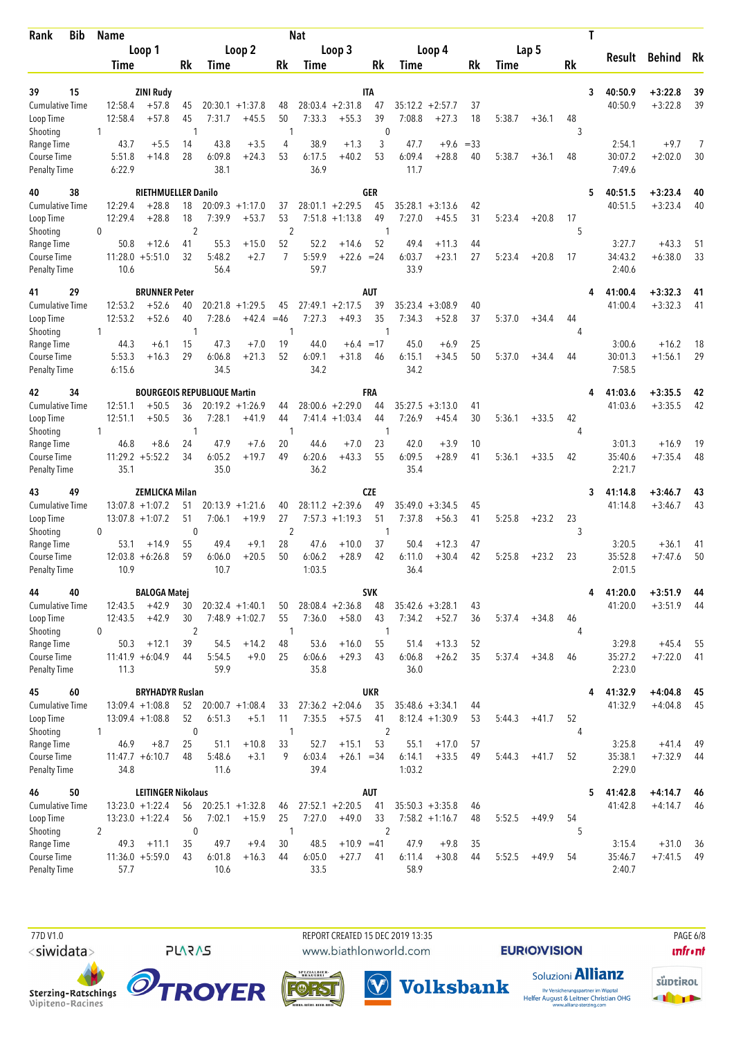| <b>Bib</b><br>Rank                  |              | Name               |                                    |                      |                   |                      |                      | <b>Nat</b>     |                               |                      |                   |                      |          |        |         |                      | Τ |                    |                        |          |
|-------------------------------------|--------------|--------------------|------------------------------------|----------------------|-------------------|----------------------|----------------------|----------------|-------------------------------|----------------------|-------------------|----------------------|----------|--------|---------|----------------------|---|--------------------|------------------------|----------|
|                                     |              |                    | Loop 1                             |                      |                   | Loop 2               |                      |                | Loop 3                        |                      |                   | Loop 4               |          |        | Lap 5   |                      |   | Result             | <b>Behind</b>          | Rk       |
|                                     |              | Time               |                                    | Rk                   | Time              |                      | Rk                   | Time           |                               | Rk                   | Time              |                      | Rk       | Time   |         | Rk                   |   |                    |                        |          |
|                                     |              |                    |                                    |                      |                   |                      |                      |                |                               |                      |                   |                      |          |        |         |                      |   |                    |                        |          |
| 15<br>39<br><b>Cumulative Time</b>  |              | 12:58.4            | <b>ZINI Rudy</b><br>$+57.8$        | 45                   |                   | $20:30.1 + 1:37.8$   | 48                   |                | $28:03.4 +2:31.8$             | IΤΑ<br>47            | 35:12.2           | $+2:57.7$            | 37       |        |         |                      | 3 | 40:50.9<br>40:50.9 | $+3:22.8$<br>$+3:22.8$ | 39<br>39 |
| Loop Time                           |              | 12:58.4            | $+57.8$                            | 45                   | 7:31.7            | $+45.5$              | 50                   | 7:33.3         | $+55.3$                       | 39                   | 7:08.8            | $+27.3$              | 18       | 5:38.7 | $+36.1$ | 48                   |   |                    |                        |          |
| Shooting                            | 1            |                    |                                    | 1                    |                   |                      | $\mathbf{1}$         |                |                               | $\mathbf{0}$         |                   |                      |          |        |         | 3                    |   |                    |                        |          |
| Range Time                          |              | 43.7               | $+5.5$                             | 14                   | 43.8              | $+3.5$               | 4                    | 38.9           | $+1.3$                        | 3                    | 47.7              | $+9.6$               | $= 33$   |        |         |                      |   | 2:54.1             | $+9.7$                 |          |
| Course Time<br><b>Penalty Time</b>  |              | 5:51.8<br>6:22.9   | $+14.8$                            | 28                   | 6:09.8<br>38.1    | $+24.3$              | 53                   | 6:17.5<br>36.9 | $+40.2$                       | 53                   | 6:09.4<br>11.7    | $+28.8$              | 40       | 5:38.7 | $+36.1$ | 48                   |   | 30:07.2<br>7:49.6  | $+2:02.0$              | 30       |
| 38<br>40                            |              |                    | RIETHMUELLER Danilo                |                      |                   |                      |                      |                |                               | GER                  |                   |                      |          |        |         |                      | 5 | 40:51.5            | $+3:23.4$              | 40       |
| Cumulative Time                     |              | 12:29.4            | $+28.8$                            | 18                   |                   | $20:09.3 +1:17.0$    | 37                   |                | $28:01.1 + 2:29.5$            | 45                   | 35:28.1           | $+3:13.6$            | 42       |        |         |                      |   | 40:51.5            | $+3:23.4$              | 40       |
| Loop Time                           | 0            | 12:29.4            | $+28.8$                            | 18<br>$\overline{2}$ | 7:39.9            | $+53.7$              | 53<br>$\overline{2}$ |                | $7:51.8 +1:13.8$              | 49<br>-1             | 7:27.0            | $+45.5$              | 31       | 5:23.4 | $+20.8$ | 17<br>5              |   |                    |                        |          |
| Shooting<br>Range Time              |              | 50.8               | $+12.6$                            | 41                   | 55.3              | $+15.0$              | 52                   | 52.2           | $+14.6$                       | 52                   | 49.4              | $+11.3$              | 44       |        |         |                      |   | 3:27.7             | $+43.3$                | 51       |
| Course Time                         |              |                    | $11:28.0 + 5:51.0$                 | 32                   | 5:48.2            | $+2.7$               | $\overline{7}$       | 5:59.9         | $+22.6 = 24$                  |                      | 6:03.7            | $+23.1$              | 27       | 5:23.4 | $+20.8$ | 17                   |   | 34:43.2            | $+6:38.0$              | 33       |
| <b>Penalty Time</b>                 |              | 10.6               |                                    |                      | 56.4              |                      |                      | 59.7           |                               |                      | 33.9              |                      |          |        |         |                      |   | 2:40.6             |                        |          |
| 29<br>41                            |              |                    | <b>BRUNNER Peter</b>               |                      |                   |                      |                      |                |                               | <b>AUT</b>           |                   |                      |          |        |         |                      |   | 41:00.4            | $+3:32.3$              | 41       |
| <b>Cumulative Time</b><br>Loop Time |              | 12:53.2<br>12:53.2 | $+52.6$<br>$+52.6$                 | 40<br>40             | 20:21.8<br>7:28.6 | $+1:29.5$<br>$+42.4$ | 45<br>$=46$          | 7:27.3         | $27:49.1 + 2:17.5$<br>$+49.3$ | 39<br>35             | 35:23.4<br>7:34.3 | $+3:08.9$<br>$+52.8$ | 40<br>37 | 5:37.0 | $+34.4$ | 44                   |   | 41:00.4            | $+3:32.3$              | 41       |
| Shooting                            | $\mathbf{1}$ |                    |                                    | 1                    |                   |                      | 1                    |                |                               | -1                   |                   |                      |          |        |         | 4                    |   |                    |                        |          |
| Range Time                          |              | 44.3               | $+6.1$                             | 15                   | 47.3              | $+7.0$               | 19                   | 44.0           | $+6.4 = 17$                   |                      | 45.0              | $+6.9$               | 25       |        |         |                      |   | 3:00.6             | $+16.2$                | 18       |
| Course Time                         |              | 5:53.3             | $+16.3$                            | 29                   | 6:06.8            | $+21.3$              | 52                   | 6:09.1         | $+31.8$                       | 46                   | 6:15.1            | $+34.5$              | 50       | 5:37.0 | $+34.4$ | 44                   |   | 30:01.3            | $+1:56.1$              | 29       |
| <b>Penalty Time</b>                 |              | 6:15.6             |                                    |                      | 34.5              |                      |                      | 34.2           |                               |                      | 34.2              |                      |          |        |         |                      |   | 7:58.5             |                        |          |
| 34<br>42                            |              |                    | <b>BOURGEOIS REPUBLIQUE Martin</b> |                      |                   |                      |                      |                |                               | FRA                  |                   |                      |          |        |         |                      | 4 | 41:03.6            | $+3:35.5$              | 42       |
| <b>Cumulative Time</b>              |              | 12:51.1            | $+50.5$                            | 36                   |                   | $20:19.2 + 1:26.9$   | 44                   |                | $28:00.6 + 2:29.0$            | 44                   |                   | $35:27.5 + 3:13.0$   | 41       |        |         |                      |   | 41:03.6            | $+3:35.5$              | 42       |
| Loop Time                           |              | 12:51.1            | $+50.5$                            | 36                   | 7:28.1            | $+41.9$              | 44                   |                | $7:41.4 + 1:03.4$             | 44                   | 7:26.9            | $+45.4$              | 30       | 5:36.1 | $+33.5$ | 42                   |   |                    |                        |          |
| Shooting<br>Range Time              | 1            | 46.8               | $+8.6$                             | -1<br>24             | 47.9              | $+7.6$               | 1<br>20              | 44.6           | $+7.0$                        | -1<br>23             | 42.0              | $+3.9$               | 10       |        |         | 4                    |   | 3:01.3             | $+16.9$                | 19       |
| Course Time                         |              |                    | $11:29.2 + 5:52.2$                 | 34                   | 6:05.2            | $+19.7$              | 49                   | 6:20.6         | $+43.3$                       | 55                   | 6:09.5            | $+28.9$              | 41       | 5:36.1 | $+33.5$ | 42                   |   | 35:40.6            | $+7:35.4$              | 48       |
| <b>Penalty Time</b>                 |              | 35.1               |                                    |                      | 35.0              |                      |                      | 36.2           |                               |                      | 35.4              |                      |          |        |         |                      |   | 2:21.7             |                        |          |
| 49<br>43                            |              |                    | <b>ZEMLICKA Milan</b>              |                      |                   |                      |                      |                |                               | CZE                  |                   |                      |          |        |         |                      | 3 | 41:14.8            | $+3:46.7$              | 43       |
| Cumulative Time                     |              |                    | $13:07.8 + 1:07.2$                 | 51                   |                   | $20:13.9 + 1:21.6$   | 40                   |                | $28:11.2 + 2:39.6$            | 49                   | 35:49.0           | $+3:34.5$            | 45       |        |         |                      |   | 41:14.8            | $+3:46.7$              | 43       |
| Loop Time                           |              |                    | $13:07.8 + 1:07.2$                 | 51                   | 7:06.1            | $+19.9$              | 27                   |                | $7:57.3 +1:19.3$              | 51                   | 7:37.8            | $+56.3$              | 41       | 5:25.8 | $+23.2$ | 23                   |   |                    |                        |          |
| Shooting<br>Range Time              | $\mathbf{0}$ | 53.1               | $+14.9$                            | $\mathbf{0}$<br>55   | 49.4              | $+9.1$               | $\overline{2}$<br>28 | 47.6           | $+10.0$                       | $\mathbf{1}$<br>37   | 50.4              | $+12.3$              | 47       |        |         | 3                    |   | 3:20.5             | $+36.1$                | 41       |
| Course Time                         |              | 12:03.8            | $+6:26.8$                          | 59                   | 6:06.0            | $+20.5$              | 50                   | 6:06.2         | $+28.9$                       | 42                   | 6:11.0            | $+30.4$              | 42       | 5:25.8 | $+23.2$ | 23                   |   | 35:52.8            | $+7:47.6$              | 50       |
| <b>Penalty Time</b>                 |              | 10.9               |                                    |                      | 10.7              |                      |                      | 1:03.5         |                               |                      | 36.4              |                      |          |        |         |                      |   | 2:01.5             |                        |          |
| 40<br>44                            |              |                    | <b>BALOGA Matej</b>                |                      |                   |                      |                      |                |                               | SVK                  |                   |                      |          |        |         |                      | 4 | 41:20.0            | $+3:51.9$              | 44       |
| Cumulative Time                     |              | 12:43.5            | $+42.9$                            | 30                   |                   | $20:32.4 +1:40.1$    | 50                   |                | $28:08.4 + 2:36.8$            | 48                   |                   | $35:42.6 + 3:28.1$   | 43       |        |         |                      |   | 41:20.0            | $+3:51.9$              | -44      |
| Loop Time                           |              | 12:43.5            | $+42.9$                            | 30                   |                   | $7:48.9 +1:02.7$     | 55<br>1              | 7:36.0         | $+58.0$                       | 43                   | 7:34.2            | $+52.7$              | 36       | 5:37.4 | $+34.8$ | 46<br>4              |   |                    |                        |          |
| Shooting<br>Range Time              | 0            | 50.3               | $+12.1$                            | $\overline{2}$<br>39 | 54.5              | $+14.2$              | 48                   | 53.6           | $+16.0$                       | -1<br>55             | 51.4              | $+13.3$              | 52       |        |         |                      |   | 3:29.8             | $+45.4$                | 55       |
| Course Time                         |              |                    | $11:41.9 + 6:04.9$                 | 44                   | 5:54.5            | $+9.0$               | 25                   | 6:06.6         | $+29.3$                       | 43                   | 6:06.8            | $+26.2$              | 35       | 5:37.4 | $+34.8$ | 46                   |   | 35:27.2            | $+7:22.0$              | -41      |
| <b>Penalty Time</b>                 |              | 11.3               |                                    |                      | 59.9              |                      |                      | 35.8           |                               |                      | 36.0              |                      |          |        |         |                      |   | 2:23.0             |                        |          |
| 60<br>45                            |              |                    | <b>BRYHADYR Ruslan</b>             |                      |                   |                      |                      |                |                               | <b>UKR</b>           |                   |                      |          |        |         |                      | 4 | 41:32.9            | $+4:04.8$              | 45       |
| Cumulative Time                     |              |                    | $13:09.4 +1:08.8$                  | 52                   |                   | $20:00.7 +1:08.4$    | 33                   |                | $27:36.2 + 2:04.6$            | 35                   |                   | $35:48.6 + 3:34.1$   | 44       |        |         |                      |   | 41:32.9            | $+4:04.8$              | 45       |
| Loop Time                           | 1            |                    | $13:09.4 +1:08.8$                  | 52<br>$\mathbf 0$    | 6:51.3            | $+5.1$               | 11<br>$\mathbf{1}$   | 7:35.5         | $+57.5$                       | 41<br>$\overline{2}$ |                   | $8:12.4 +1:30.9$     | 53       | 5:44.3 | $+41.7$ | 52<br>$\overline{4}$ |   |                    |                        |          |
| Shooting<br>Range Time              |              | 46.9               | $+8.7$                             | 25                   | 51.1              | $+10.8$              | 33                   | 52.7           | $+15.1$                       | 53                   | 55.1              | $+17.0$              | 57       |        |         |                      |   | 3:25.8             | $+41.4$                | 49       |
| Course Time                         |              |                    | $11:47.7 + 6:10.7$                 | 48                   | 5:48.6            | $+3.1$               | 9                    | 6:03.4         | $+26.1 = 34$                  |                      | 6:14.1            | $+33.5$              | 49       | 5:44.3 | $+41.7$ | 52                   |   | 35:38.1            | $+7:32.9$              | 44       |
| <b>Penalty Time</b>                 |              | 34.8               |                                    |                      | 11.6              |                      |                      | 39.4           |                               |                      | 1:03.2            |                      |          |        |         |                      |   | 2:29.0             |                        |          |
| 50<br>46                            |              |                    | <b>LEITINGER Nikolaus</b>          |                      |                   |                      |                      |                |                               | <b>AUT</b>           |                   |                      |          |        |         |                      | 5 | 41:42.8            | $+4:14.7$              | 46       |
| <b>Cumulative Time</b>              |              |                    | $13:23.0 +1:22.4$                  | 56                   |                   | $20:25.1 + 1:32.8$   | 46                   |                | $27:52.1 + 2:20.5$            | 41                   |                   | $35:50.3 + 3:35.8$   | 46       |        |         |                      |   | 41:42.8            | $+4:14.7$              | 46       |
| Loop Time                           | 2            |                    | $13:23.0 + 1:22.4$                 | 56<br>$\mathbf 0$    | 7:02.1            | $+15.9$              | 25<br>$\mathbf{1}$   | 7:27.0         | $+49.0$                       | 33<br>$\overline{2}$ |                   | $7:58.2 +1:16.7$     | 48       | 5:52.5 | $+49.9$ | 54<br>5              |   |                    |                        |          |
| Shooting<br>Range Time              |              | 49.3               | $+11.1$                            | 35                   | 49.7              | $+9.4$               | 30                   | 48.5           | $+10.9 = 41$                  |                      | 47.9              | $+9.8$               | 35       |        |         |                      |   | 3:15.4             | $+31.0$                | 36       |
| Course Time                         |              |                    | $11:36.0 + 5:59.0$                 | 43                   | 6:01.8            | $+16.3$              | 44                   | 6:05.0         | $+27.7$                       | 41                   | 6:11.4            | $+30.8$              | 44       | 5:52.5 | $+49.9$ | 54                   |   | 35:46.7            | $+7:41.5$              | 49       |
| Penalty Time                        |              | 57.7               |                                    |                      | 10.6              |                      |                      | 33.5           |                               |                      | 58.9              |                      |          |        |         |                      |   | 2:40.7             |                        |          |

Sterzing-Ratschings<br>Vipiteno-Racines

**PLARAS** 

 77D V1.0 REPORT CREATED 15 DEC 2019 13:35 PAGE 6/8www.biathlonworld.com

 $(\blacktriangledown)$ 

**EURIOVISION** 

Soluzioni **Allianz** 

**unfront** 



SPEZIALBIER<br>BRAUEREI

**Volksbank** Ihr Versicherungspartner im Wipptal<br>Helfer August & Leitner Christian OHG<br>www.allianz-sterzing.com

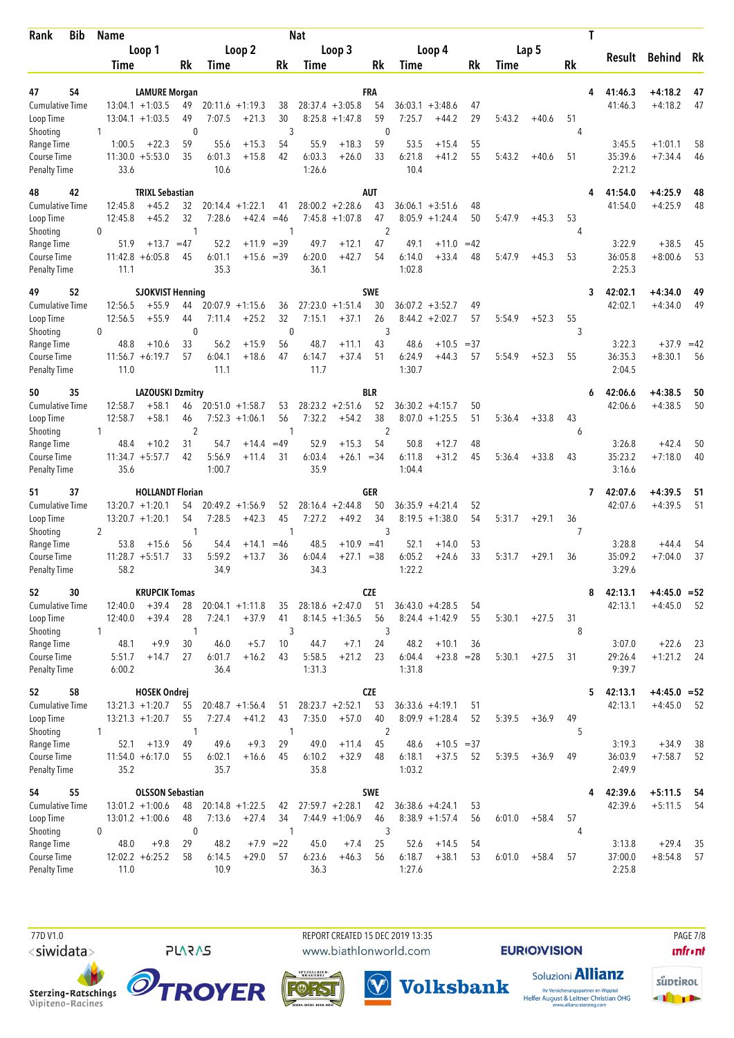| <b>Bib</b><br>Rank                  | <b>Name</b>            |                                          |           |                |                               |              | Nat              |                                        |                      |                |                                         |          |        |         |         | Τ |                   |                |       |
|-------------------------------------|------------------------|------------------------------------------|-----------|----------------|-------------------------------|--------------|------------------|----------------------------------------|----------------------|----------------|-----------------------------------------|----------|--------|---------|---------|---|-------------------|----------------|-------|
|                                     |                        | Loop 1                                   |           |                | Loop 2                        |              |                  | Loop 3                                 |                      |                | Loop 4                                  |          |        | Lap 5   |         |   | Result            | Behind Rk      |       |
|                                     | Time                   |                                          | Rk        | Time           |                               | Rk           | Time             |                                        | Rk                   | Time           |                                         | Rk       | Time   |         | Rk      |   |                   |                |       |
| 54<br>47                            |                        | <b>LAMURE Morgan</b>                     |           |                |                               |              |                  |                                        | FRA                  |                |                                         |          |        |         |         | 4 | 41:46.3           | $+4:18.2$      | 47    |
| <b>Cumulative Time</b>              |                        | $13:04.1 + 1:03.5$                       | 49        |                | $20:11.6 + 1:19.3$            | 38           |                  | $28:37.4 + 3:05.8$                     | 54                   | 36:03.1        | $+3:48.6$                               | 47       |        |         |         |   | 41:46.3           | $+4:18.2$      | 47    |
| Loop Time                           |                        | $13:04.1 + 1:03.5$                       | 49        | 7:07.5         | $+21.3$                       | 30           |                  | $8:25.8 +1:47.8$                       | 59                   | 7:25.7         | $+44.2$                                 | 29       | 5:43.2 | $+40.6$ | 51      |   |                   |                |       |
| Shooting                            | 1                      |                                          | 0         |                |                               | 3            |                  |                                        | $\mathbf{0}$         |                |                                         |          |        |         | 4       |   |                   |                |       |
| Range Time                          | 1:00.5                 | $+22.3$<br>$11:30.0 + 5:53.0$            | 59<br>35  | 55.6           | $+15.3$                       | 54           | 55.9             | $+18.3$                                | 59                   | 53.5           | $+15.4$                                 | 55       |        |         |         |   | 3:45.5            | $+1:01.1$      | 58    |
| Course Time<br><b>Penalty Time</b>  | 33.6                   |                                          |           | 6:01.3<br>10.6 | $+15.8$                       | 42           | 6:03.3<br>1:26.6 | $+26.0$                                | 33                   | 6:21.8<br>10.4 | $+41.2$                                 | 55       | 5:43.2 | $+40.6$ | 51      |   | 35:39.6<br>2:21.2 | $+7:34.4$      | 46    |
| 42<br>48                            |                        | <b>TRIXL Sebastian</b>                   |           |                |                               |              |                  |                                        | <b>AUT</b>           |                |                                         |          |        |         |         |   | 41:54.0           | $+4:25.9$      | 48    |
| <b>Cumulative Time</b>              | 12:45.8                | $+45.2$                                  | 32        |                | $20:14.4 + 1:22.1$            | 41           |                  | $28:00.2 + 2:28.6$                     | 43                   |                | $36:06.1 + 3:51.6$                      | 48       |        |         |         |   | 41:54.0           | $+4:25.9$      | 48    |
| Loop Time<br>Shooting               | 12:45.8<br>$\mathbf 0$ | $+45.2$                                  | 32<br>1   | 7:28.6         | +42.4                         | $=46$<br>1   |                  | $7:45.8 +1:07.8$                       | 47<br>$\overline{2}$ |                | $8:05.9 +1:24.4$                        | 50       | 5:47.9 | $+45.3$ | 53<br>4 |   |                   |                |       |
| Range Time                          | 51.9                   | $+13.7$                                  | $=47$     | 52.2           | $+11.9$                       | $=39$        | 49.7             | $+12.1$                                | 47                   | 49.1           | $+11.0$                                 | $=42$    |        |         |         |   | 3:22.9            | $+38.5$        | 45    |
| Course Time                         |                        | $11:42.8 + 6:05.8$                       | 45        | 6:01.1         | $+15.6 = 39$                  |              | 6:20.0           | $+42.7$                                | 54                   | 6:14.0         | $+33.4$                                 | 48       | 5:47.9 | $+45.3$ | 53      |   | 36:05.8           | $+8:00.6$      | 53    |
| <b>Penalty Time</b>                 | 11.1                   |                                          |           | 35.3           |                               |              | 36.1             |                                        |                      | 1:02.8         |                                         |          |        |         |         |   | 2:25.3            |                |       |
| 52<br>49                            |                        | <b>SJOKVIST Henning</b>                  |           |                |                               |              |                  |                                        | <b>SWE</b>           |                |                                         |          |        |         |         | 3 | 42:02.1           | $+4:34.0$      | 49    |
| <b>Cumulative Time</b><br>Loop Time | 12:56.5<br>12:56.5     | $+55.9$<br>$+55.9$                       | 44<br>44  | 7:11.4         | $20:07.9 +1:15.6$<br>$+25.2$  | 36<br>32     | 7:15.1           | $27:23.0 + 1:51.4$<br>$+37.1$          | 30<br>26             |                | $36:07.2 + 3:52.7$<br>$8:44.2 + 2:02.7$ | 49<br>57 | 5:54.9 | $+52.3$ | 55      |   | 42:02.1           | $+4:34.0$      | 49    |
| Shooting                            | $\mathbf 0$            |                                          | 0         |                |                               | $\mathbf{0}$ |                  |                                        | 3                    |                |                                         |          |        |         | 3       |   |                   |                |       |
| Range Time                          | 48.8                   | $+10.6$                                  | 33        | 56.2           | $+15.9$                       | 56           | 48.7             | $+11.1$                                | 43                   | 48.6           | $+10.5$                                 | $=37$    |        |         |         |   | 3:22.3            | $+37.9$        | $=42$ |
| Course Time                         |                        | $11:56.7 + 6:19.7$                       | 57        | 6:04.1         | $+18.6$                       | 47           | 6:14.7           | $+37.4$                                | 51                   | 6:24.9         | $+44.3$                                 | 57       | 5:54.9 | $+52.3$ | 55      |   | 36:35.3           | $+8:30.1$      | 56    |
| <b>Penalty Time</b>                 | 11.0                   |                                          |           | 11.1           |                               |              | 11.7             |                                        |                      | 1:30.7         |                                         |          |        |         |         |   | 2:04.5            |                |       |
| 35<br>50                            |                        | <b>LAZOUSKI Dzmitry</b>                  |           |                |                               |              |                  |                                        | <b>BLR</b>           |                |                                         |          |        |         |         | 6 | 42:06.6           | $+4:38.5$      | 50    |
| <b>Cumulative Time</b>              | 12:58.7                | $+58.1$                                  | 46        |                | $20:51.0 + 1:58.7$            | 53           |                  | $28:23.2 + 2:51.6$                     | 52                   |                | $36:30.2 +4:15.7$                       | 50       |        |         |         |   | 42:06.6           | $+4:38.5$      | 50    |
| Loop Time<br>Shooting               | 12:58.7<br>1           | $+58.1$                                  | 46<br>2   |                | $7:52.3 +1:06.1$              | 56<br>1      | 7:32.2           | $+54.2$                                | 38<br>2              |                | $8:07.0 + 1:25.5$                       | 51       | 5:36.4 | $+33.8$ | 43<br>6 |   |                   |                |       |
| Range Time                          | 48.4                   | $+10.2$                                  | 31        | 54.7           | $+14.4$                       | $=49$        | 52.9             | $+15.3$                                | 54                   | 50.8           | $+12.7$                                 | 48       |        |         |         |   | 3:26.8            | $+42.4$        | 50    |
| Course Time                         |                        | $11:34.7 + 5:57.7$                       | 42        | 5:56.9         | $+11.4$                       | 31           | 6:03.4           | $+26.1$                                | $= 34$               | 6:11.8         | $+31.2$                                 | 45       | 5:36.4 | $+33.8$ | 43      |   | 35:23.2           | $+7:18.0$      | 40    |
| <b>Penalty Time</b>                 | 35.6                   |                                          |           | 1:00.7         |                               |              | 35.9             |                                        |                      | 1:04.4         |                                         |          |        |         |         |   | 3:16.6            |                |       |
| 37<br>51                            |                        | <b>HOLLANDT Florian</b>                  |           |                |                               |              |                  |                                        | GER                  |                |                                         |          |        |         |         | 7 | 42:07.6           | $+4:39.5$      | 51    |
| <b>Cumulative Time</b><br>Loop Time |                        | $13:20.7 + 1:20.1$<br>$13:20.7 + 1:20.1$ | 54<br>54  | 7:28.5         | $20:49.2 +1:56.9$<br>$+42.3$  | 52<br>45     | 7:27.2           | $28:16.4 + 2:44.8$<br>$+49.2$          | 50<br>34             |                | $36:35.9 + 4:21.4$<br>$8:19.5 + 1:38.0$ | 52<br>54 | 5:31.7 | $+29.1$ | 36      |   | 42:07.6           | $+4:39.5$      | 51    |
| Shooting                            | 2                      |                                          | 1         |                |                               | 1            |                  |                                        | 3                    |                |                                         |          |        |         | 7       |   |                   |                |       |
| Range Time                          | 53.8                   | $+15.6$                                  | 56        | 54.4           | $+14.1$                       | $=46$        | 48.5             | $+10.9 = 41$                           |                      | 52.1           | $+14.0$                                 | 53       |        |         |         |   | 3:28.8            | $+44.4$        | 54    |
| Course Time                         |                        | $11:28.7 + 5:51.7$                       | 33        | 5:59.2         | $+13.7$                       | 36           | 6:04.4           | $+27.1 = 38$                           |                      | 6:05.2         | $+24.6$                                 | 33       | 5:31.7 | $+29.1$ | 36      |   | 35:09.2           | $+7:04.0$      | 37    |
| <b>Penalty Time</b>                 | 58.2                   |                                          |           | 34.9           |                               |              | 34.3             |                                        |                      | 1:22.2         |                                         |          |        |         |         |   | 3:29.6            |                |       |
| 30<br>52                            |                        | <b>KRUPCIK Tomas</b>                     |           |                |                               |              |                  |                                        | <b>CZE</b>           |                |                                         |          |        |         |         | 8 | 42:13.1           | $+4:45.0 = 52$ |       |
| Cumulative Time<br>Loop Time        | 12:40.0<br>12:40.0     | $+39.4$<br>$+39.4$                       | 28<br>28  | 7:24.1         | $20:04.1 + 1:11.8$<br>$+37.9$ | 35<br>41     |                  | $28:18.6 + 2:47.0$<br>$8:14.5 +1:36.5$ | 51<br>56             |                | $36:43.0 +4:28.5$<br>$8:24.4 +1:42.9$   | 54<br>55 | 5:30.1 | $+27.5$ | 31      |   | 42:13.1           | $+4:45.0$      | - 52  |
| Shooting                            | 1                      |                                          | 1         |                |                               | 3            |                  |                                        | 3                    |                |                                         |          |        |         | 8       |   |                   |                |       |
| Range Time                          | 48.1                   | $+9.9$                                   | 30        | 46.0           | $+5.7$                        | 10           | 44.7             | $+7.1$                                 | 24                   | 48.2           | $+10.1$                                 | 36       |        |         |         |   | 3:07.0            | $+22.6$        | - 23  |
| Course Time                         | 5:51.7                 | $+14.7$                                  | 27        | 6:01.7         | $+16.2$                       | 43           | 5:58.5           | $+21.2$                                | 23                   | 6:04.4         | $+23.8 = 28$                            |          | 5:30.1 | $+27.5$ | 31      |   | 29:26.4           | $+1:21.2$      | - 24  |
| <b>Penalty Time</b>                 | 6:00.2                 |                                          |           | 36.4           |                               |              | 1:31.3           |                                        |                      | 1:31.8         |                                         |          |        |         |         |   | 9:39.7            |                |       |
| 58<br>52                            |                        | <b>HOSEK Ondrej</b>                      |           |                |                               |              |                  |                                        | <b>CZE</b>           |                |                                         |          |        |         |         | 5 | 42:13.1           | $+4:45.0 = 52$ |       |
| <b>Cumulative Time</b>              |                        | $13:21.3 +1:20.7$<br>$13:21.3 +1:20.7$   | 55<br>55  | 7:27.4         | $20:48.7 + 1:56.4$<br>$+41.2$ | 51<br>43     | 7:35.0           | $28:23.7 +2:52.1$<br>$+57.0$           | 53<br>40             |                | $36:33.6 +4:19.1$<br>$8:09.9 +1:28.4$   | 51<br>52 | 5:39.5 |         | 49      |   | 42:13.1           | $+4:45.0$      | 52    |
| Loop Time<br>Shooting               | $\mathbf{1}$           |                                          | 1         |                |                               | $\mathbf{1}$ |                  |                                        | $\overline{2}$       |                |                                         |          |        | $+36.9$ | 5       |   |                   |                |       |
| Range Time                          | 52.1                   | $+13.9$                                  | 49        | 49.6           | $+9.3$                        | 29           | 49.0             | $+11.4$                                | 45                   | 48.6           | $+10.5 = 37$                            |          |        |         |         |   | 3:19.3            | $+34.9$        | 38    |
| Course Time                         |                        | $11:54.0 + 6:17.0$                       | 55        | 6:02.1         | $+16.6$                       | 45           | 6:10.2           | $+32.9$                                | 48                   | 6:18.1         | $+37.5$                                 | 52       | 5:39.5 | $+36.9$ | 49      |   | 36:03.9           | $+7:58.7$      | 52    |
| Penalty Time                        | 35.2                   |                                          |           | 35.7           |                               |              | 35.8             |                                        |                      | 1:03.2         |                                         |          |        |         |         |   | 2:49.9            |                |       |
| 55<br>54                            |                        | <b>OLSSON Sebastian</b>                  |           |                |                               |              |                  |                                        | <b>SWE</b>           |                |                                         |          |        |         |         | 4 | 42:39.6           | $+5:11.5$      | - 54  |
| <b>Cumulative Time</b>              |                        | $13:01.2 +1:00.6$                        | 48<br>48  |                | $20:14.8 + 1:22.5$<br>$+27.4$ | 42<br>34     |                  | $27:59.7 + 2:28.1$<br>$7:44.9 +1:06.9$ | 42<br>46             |                | $36:38.6 + 4:24.1$                      | 53<br>56 |        |         | 57      |   | 42:39.6           | $+5:11.5$      | - 54  |
| Loop Time<br>Shooting               | 0                      | $13:01.2 +1:00.6$                        | $\pmb{0}$ | 7:13.6         |                               | $\mathbf{1}$ |                  |                                        | 3                    |                | $8:38.9 +1:57.4$                        |          | 6:01.0 | $+58.4$ | 4       |   |                   |                |       |
| Range Time                          | 48.0                   | $+9.8$                                   | 29        | 48.2           |                               | $+7.9$ = 22  | 45.0             | $+7.4$                                 | 25                   | 52.6           | $+14.5$                                 | 54       |        |         |         |   | 3:13.8            | $+29.4$        | 35    |
| Course Time                         |                        | $12:02.2 + 6:25.2$                       | 58        | 6:14.5         | $+29.0$                       | 57           | 6:23.6           | $+46.3$                                | 56                   | 6:18.7         | $+38.1$                                 | 53       | 6:01.0 | $+58.4$ | 57      |   | 37:00.0           | $+8:54.8$      | 57    |
| Penalty Time                        | 11.0                   |                                          |           | 10.9           |                               |              | 36.3             |                                        |                      | 1:27.6         |                                         |          |        |         |         |   | 2:25.8            |                |       |

 77D V1.0 REPORT CREATED 15 DEC 2019 13:35 PAGE 7/8www.biathlonworld.com

 $(\blacktriangledown)$ 

**EURIOVISION** 

**unfront** 





**PLARAS**